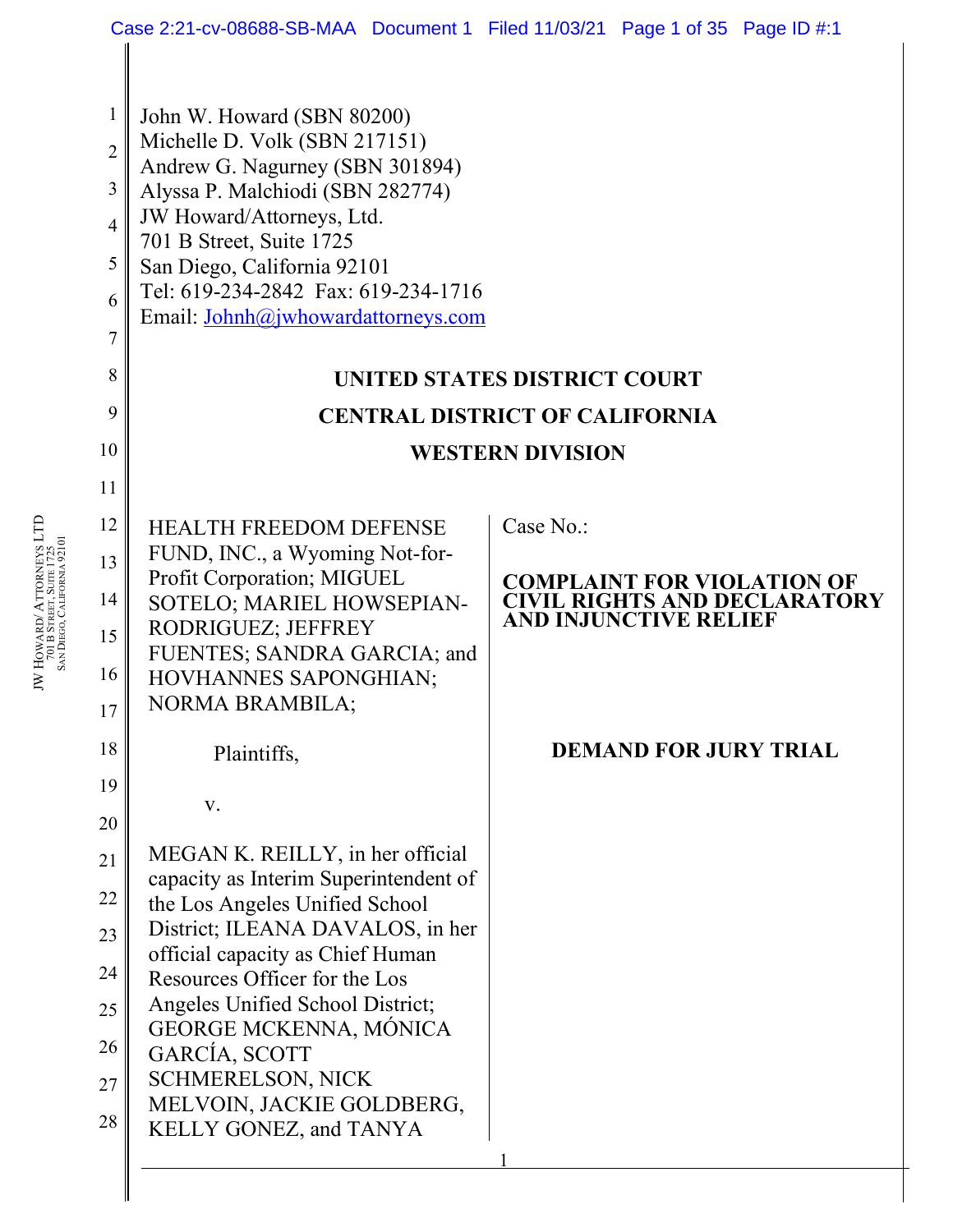| Case 2:21-cv-08688-SB-MAA Document 1 Filed 11/03/21 Page 1 of 35 Page ID #:1 |                                                                    |                                                                     |
|------------------------------------------------------------------------------|--------------------------------------------------------------------|---------------------------------------------------------------------|
|                                                                              |                                                                    |                                                                     |
| 1<br>$\overline{2}$                                                          | John W. Howard (SBN 80200)<br>Michelle D. Volk (SBN 217151)        |                                                                     |
| 3                                                                            | Andrew G. Nagurney (SBN 301894)                                    |                                                                     |
| $\overline{4}$                                                               | Alyssa P. Malchiodi (SBN 282774)<br>JW Howard/Attorneys, Ltd.      |                                                                     |
| 5                                                                            | 701 B Street, Suite 1725<br>San Diego, California 92101            |                                                                     |
| 6                                                                            | Tel: 619-234-2842 Fax: 619-234-1716                                |                                                                     |
| 7                                                                            | Email: Johnh@jwhowardattorneys.com                                 |                                                                     |
| 8                                                                            |                                                                    |                                                                     |
| 9                                                                            | UNITED STATES DISTRICT COURT                                       |                                                                     |
| 10                                                                           | <b>CENTRAL DISTRICT OF CALIFORNIA</b>                              |                                                                     |
|                                                                              | <b>WESTERN DIVISION</b>                                            |                                                                     |
| 11                                                                           |                                                                    |                                                                     |
| 12                                                                           | <b>HEALTH FREEDOM DEFENSE</b><br>FUND, INC., a Wyoming Not-for-    | Case No.:                                                           |
| 13                                                                           | Profit Corporation; MIGUEL                                         | <b>COMPLAINT FOR VIOLATION OF</b>                                   |
| 14                                                                           | SOTELO; MARIEL HOWSEPIAN-<br>RODRIGUEZ; JEFFREY                    | <b>CIVIL RIGHTS AND DECLARATORY</b><br><b>AND INJUNCTIVE RELIEF</b> |
| 15                                                                           | FUENTES; SANDRA GARCIA; and                                        |                                                                     |
| 16                                                                           | HOVHANNES SAPONGHIAN;<br><b>NORMA BRAMBILA;</b>                    |                                                                     |
| 17                                                                           |                                                                    |                                                                     |
| 18                                                                           | Plaintiffs,                                                        | <b>DEMAND FOR JURY TRIAL</b>                                        |
| 19                                                                           | V.                                                                 |                                                                     |
| 20                                                                           | MEGAN K. REILLY, in her official                                   |                                                                     |
| 21                                                                           | capacity as Interim Superintendent of                              |                                                                     |
| 22                                                                           | the Los Angeles Unified School<br>District; ILEANA DAVALOS, in her |                                                                     |
| 23                                                                           | official capacity as Chief Human                                   |                                                                     |
| 24                                                                           | Resources Officer for the Los<br>Angeles Unified School District;  |                                                                     |
| 25                                                                           | <b>GEORGE MCKENNA, MÓNICA</b>                                      |                                                                     |
| 26                                                                           | GARCÍA, SCOTT<br><b>SCHMERELSON, NICK</b>                          |                                                                     |
| 27                                                                           | MELVOIN, JACKIE GOLDBERG,                                          |                                                                     |
| 28                                                                           | KELLY GONEZ, and TANYA                                             |                                                                     |
|                                                                              |                                                                    |                                                                     |
|                                                                              |                                                                    |                                                                     |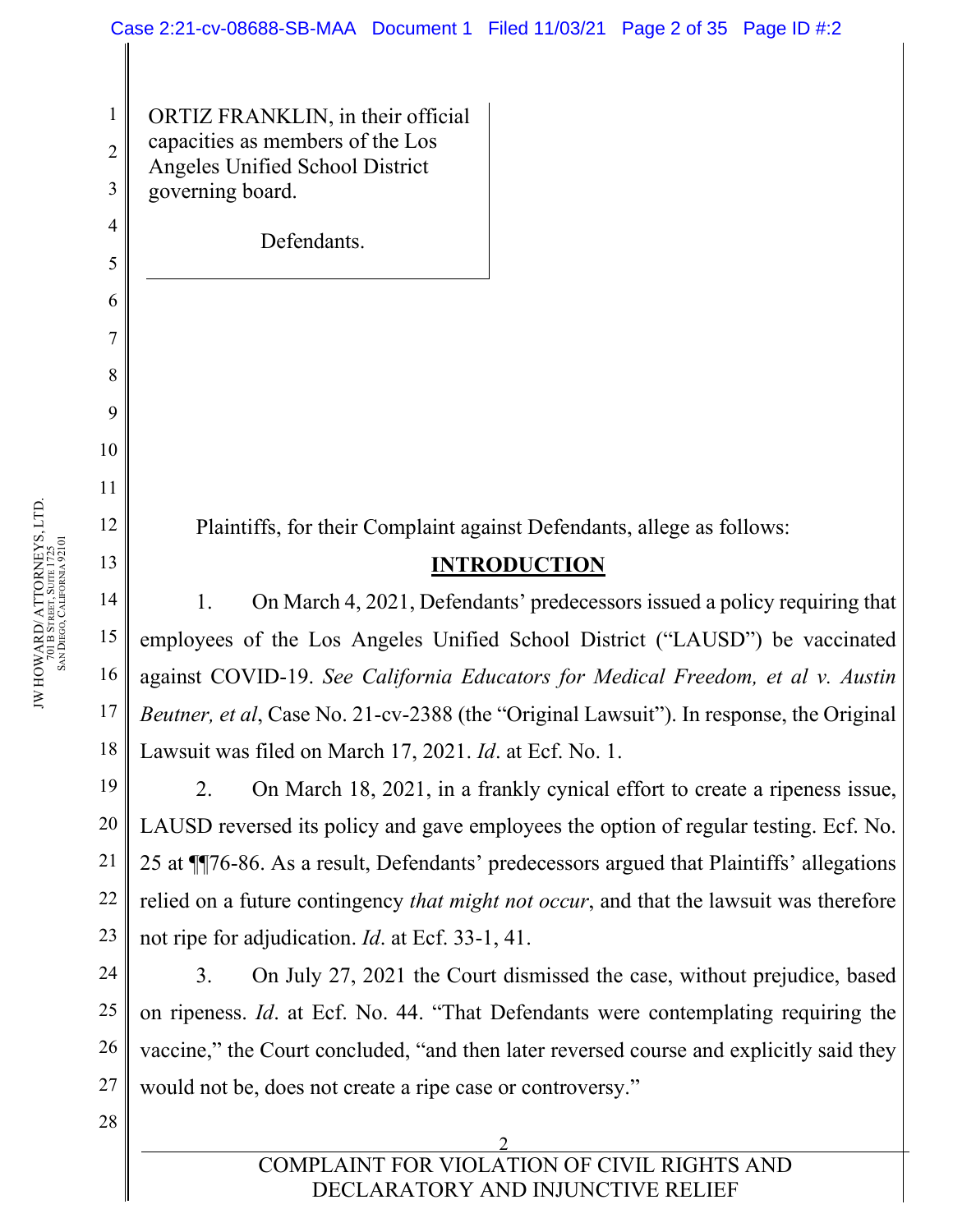ORTIZ FRANKLIN, in their official capacities as members of the Los Angeles Unified School District governing board.

Defendants.

Plaintiffs, for their Complaint against Defendants, allege as follows:

### **INTRODUCTION**

1. On March 4, 2021, Defendants' predecessors issued a policy requiring that employees of the Los Angeles Unified School District ("LAUSD") be vaccinated against COVID-19. *See California Educators for Medical Freedom, et al v. Austin Beutner, et al*, Case No. 21-cv-2388 (the "Original Lawsuit"). In response, the Original Lawsuit was filed on March 17, 2021. *Id*. at Ecf. No. 1.

2. On March 18, 2021, in a frankly cynical effort to create a ripeness issue, LAUSD reversed its policy and gave employees the option of regular testing. Ecf. No. 25 at ¶¶76-86. As a result, Defendants' predecessors argued that Plaintiffs' allegations relied on a future contingency *that might not occur*, and that the lawsuit was therefore not ripe for adjudication. *Id*. at Ecf. 33-1, 41.

24 25 26 27 3. On July 27, 2021 the Court dismissed the case, without prejudice, based on ripeness. *Id*. at Ecf. No. 44. "That Defendants were contemplating requiring the vaccine," the Court concluded, "and then later reversed course and explicitly said they would not be, does not create a ripe case or controversy."

1

2

3

4

5

6

7

8

9

10

11

12

13

14

15

16

17

18

19

20

21

22

23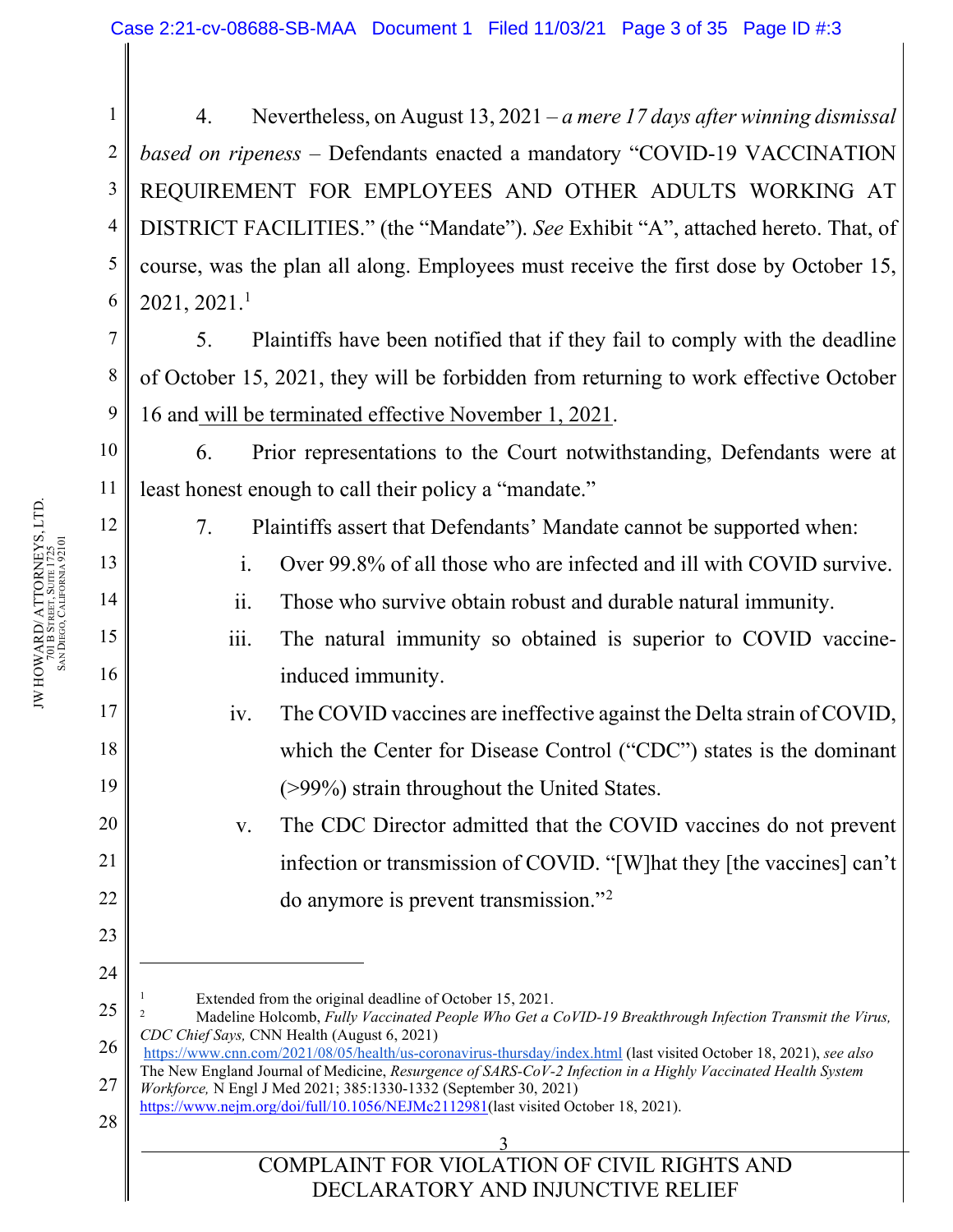1 2 3 4 5 6 4. Nevertheless, on August 13, 2021 – *a mere 17 days after winning dismissal based on ripeness* – Defendants enacted a mandatory "COVID-19 VACCINATION REQUIREMENT FOR EMPLOYEES AND OTHER ADULTS WORKING AT DISTRICT FACILITIES." (the "Mandate"). *See* Exhibit "A", attached hereto. That, of course, was the plan all along. Employees must receive the first dose by October 15,  $2021, 2021.1$  $2021, 2021.1$  $2021, 2021.1$ 

5. Plaintiffs have been notified that if they fail to comply with the deadline of October 15, 2021, they will be forbidden from returning to work effective October 16 and will be terminated effective November 1, 2021.

6. Prior representations to the Court notwithstanding, Defendants were at least honest enough to call their policy a "mandate."

- 7. Plaintiffs assert that Defendants' Mandate cannot be supported when:
	- i. Over 99.8% of all those who are infected and ill with COVID survive.
	- ii. Those who survive obtain robust and durable natural immunity.
	- iii. The natural immunity so obtained is superior to COVID vaccineinduced immunity.
- iv. The COVID vaccines are ineffective against the Delta strain of COVID, which the Center for Disease Control ("CDC") states is the dominant (>99%) strain throughout the United States.
	- v. The CDC Director admitted that the COVID vaccines do not prevent infection or transmission of COVID. "[W]hat they [the vaccines] can't do anymore is prevent transmission."[2](#page-2-1)
- Extended from the original deadline of October 15, 2021.
- <span id="page-2-1"></span><span id="page-2-0"></span>25 <sup>2</sup> Madeline Holcomb, *Fully Vaccinated People Who Get a CoVID-19 Breakthrough Infection Transmit the Virus, CDC Chief Says,* CNN Health (August 6, 2021)
- 26 27 <https://www.cnn.com/2021/08/05/health/us-coronavirus-thursday/index.html> (last visited October 18, 2021), *see also* The New England Journal of Medicine, *Resurgence of SARS-CoV-2 Infection in a Highly Vaccinated Health System Workforce,* N Engl J Med 2021; 385:1330-1332 (September 30, 2021)
- 28 [https://www.nejm.org/doi/full/10.1056/NEJMc2112981\(](https://www.nejm.org/doi/full/10.1056/NEJMc2112981)last visited October 18, 2021).
	- 3 COMPLAINT FOR VIOLATION OF CIVIL RIGHTS AND DECLARATORY AND INJUNCTIVE RELIEF

7

8

9

10

11

12

13

14

15

16

17

18

19

20

21

22

23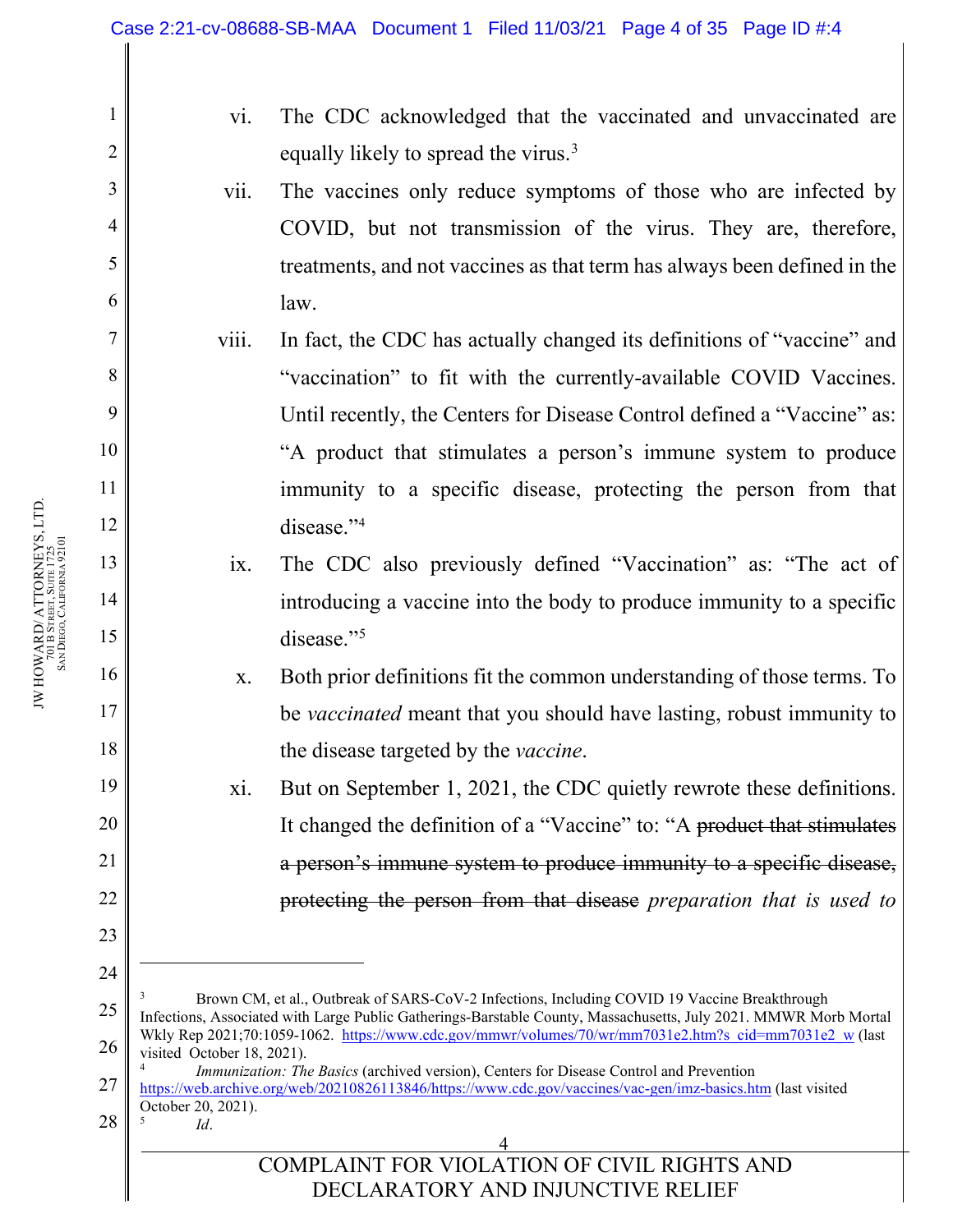<span id="page-3-2"></span><span id="page-3-1"></span><span id="page-3-0"></span>4 COMPLAINT FOR VIOLATION OF CIVIL RIGHTS AND DECLARATORY AND INJUNCTIVE RELIEF 1 2 3 4 5 6 7 8 9 10 11 12 13 14 15 16 17 18 19 20 21 22 23 24 25 26 27 28 vi. The CDC acknowledged that the vaccinated and unvaccinated are equally likely to spread the virus.<sup>[3](#page-3-0)</sup> vii. The vaccines only reduce symptoms of those who are infected by COVID, but not transmission of the virus. They are, therefore, treatments, and not vaccines as that term has always been defined in the law. viii. In fact, the CDC has actually changed its definitions of "vaccine" and "vaccination" to fit with the currently-available COVID Vaccines. Until recently, the Centers for Disease Control defined a "Vaccine" as: "A product that stimulates a person's immune system to produce immunity to a specific disease, protecting the person from that disease."<sup>[4](#page-3-1)</sup> ix. The CDC also previously defined "Vaccination" as: "The act of introducing a vaccine into the body to produce immunity to a specific disease."<sup>[5](#page-3-2)</sup> x. Both prior definitions fit the common understanding of those terms. To be *vaccinated* meant that you should have lasting, robust immunity to the disease targeted by the *vaccine*. xi. But on September 1, 2021, the CDC quietly rewrote these definitions. It changed the definition of a "Vaccine" to: "A product that stimulates a person's immune system to produce immunity to a specific disease, protecting the person from that disease *preparation that is used to*  <sup>3</sup> Brown CM, et al., Outbreak of SARS-CoV-2 Infections, Including COVID 19 Vaccine Breakthrough Infections, Associated with Large Public Gatherings-Barstable County, Massachusetts, July 2021. MMWR Morb Mortal Wkly Rep 2021;70:1059-1062. [https://www.cdc.gov/mmwr/volumes/70/wr/mm7031e2.htm?s\\_cid=mm7031e2\\_w](https://www.cdc.gov/mmwr/volumes/70/wr/mm7031e2.htm?s_cid=mm7031e2_w) (last visited October 18, 2021). <sup>4</sup> *Immunization: The Basics* (archived version), Centers for Disease Control and Prevention [https://web.archive.org/web/20210826113846/https://www.cdc.gov/vaccines/vac-gen/imz-basics.htm](https://web.archive.org/web/20210826113846/https:/www.cdc.gov/vaccines/vac-gen/imz-basics.htm) (last visited October 20, 2021). <sup>5</sup> *Id*.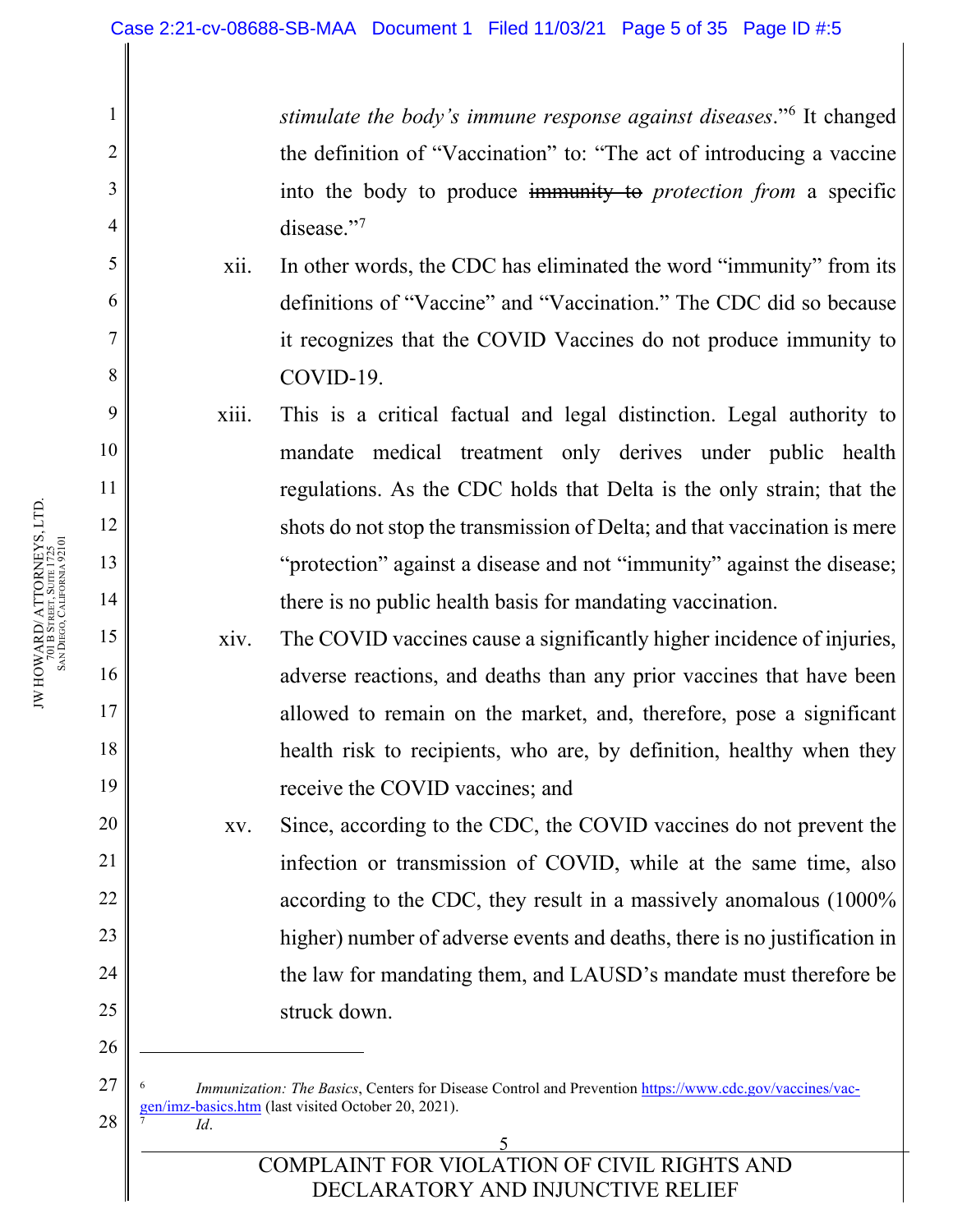*stimulate the body's immune response against diseases*."[6](#page-4-0) It changed the definition of "Vaccination" to: "The act of introducing a vaccine into the body to produce immunity to *protection from* a specific disease."<sup>[7](#page-4-1)</sup>

- xii. In other words, the CDC has eliminated the word "immunity" from its definitions of "Vaccine" and "Vaccination." The CDC did so because it recognizes that the COVID Vaccines do not produce immunity to COVID-19.
- xiii. This is a critical factual and legal distinction. Legal authority to mandate medical treatment only derives under public health regulations. As the CDC holds that Delta is the only strain; that the shots do not stop the transmission of Delta; and that vaccination is mere "protection" against a disease and not "immunity" against the disease; there is no public health basis for mandating vaccination.
- xiv. The COVID vaccines cause a significantly higher incidence of injuries, adverse reactions, and deaths than any prior vaccines that have been allowed to remain on the market, and, therefore, pose a significant health risk to recipients, who are, by definition, healthy when they receive the COVID vaccines; and

xv. Since, according to the CDC, the COVID vaccines do not prevent the infection or transmission of COVID, while at the same time, also according to the CDC, they result in a massively anomalous (1000% higher) number of adverse events and deaths, there is no justification in the law for mandating them, and LAUSD's mandate must therefore be struck down.

*Immunization: The Basics*, Centers for Disease Control and Prevention [https://www.cdc.gov/vaccines/vac](https://www.cdc.gov/vaccines/vac-gen/imz-basics.htm)[gen/imz-basics.htm](https://www.cdc.gov/vaccines/vac-gen/imz-basics.htm) (last visited October 20, 2021). <sup>7</sup> *Id*.

#### 5 COMPLAINT FOR VIOLATION OF CIVIL RIGHTS AND DECLARATORY AND INJUNCTIVE RELIEF

1

2

3

4

5

6

7

8

9

10

11

12

13

14

15

16

17

18

19

20

21

22

23

24

25

26

<span id="page-4-1"></span><span id="page-4-0"></span>27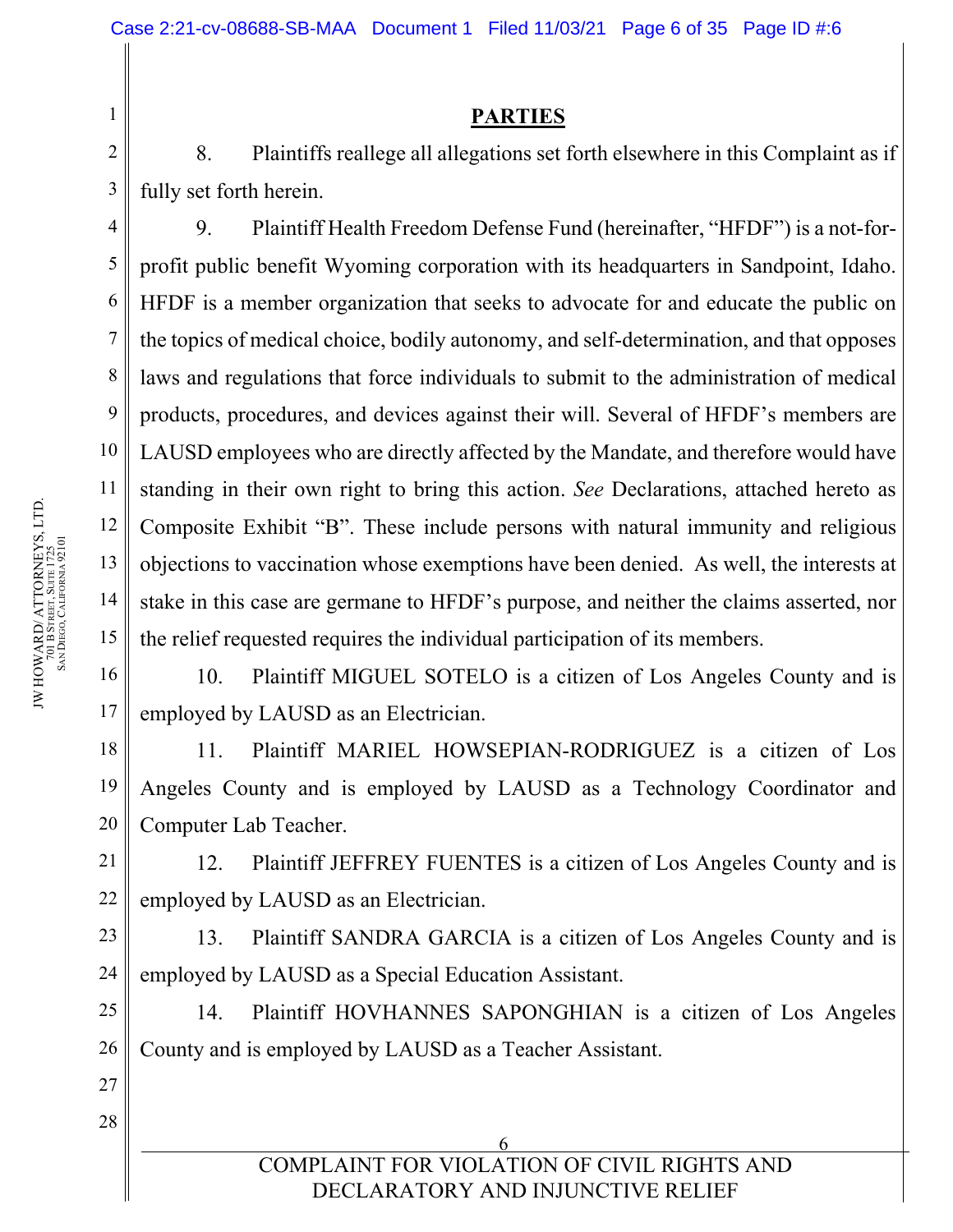**PARTIES** 

8. Plaintiffs reallege all allegations set forth elsewhere in this Complaint as if fully set forth herein.

9. Plaintiff Health Freedom Defense Fund (hereinafter, "HFDF") is a not-forprofit public benefit Wyoming corporation with its headquarters in Sandpoint, Idaho. HFDF is a member organization that seeks to advocate for and educate the public on the topics of medical choice, bodily autonomy, and self-determination, and that opposes laws and regulations that force individuals to submit to the administration of medical products, procedures, and devices against their will. Several of HFDF's members are LAUSD employees who are directly affected by the Mandate, and therefore would have standing in their own right to bring this action. *See* Declarations, attached hereto as Composite Exhibit "B". These include persons with natural immunity and religious objections to vaccination whose exemptions have been denied. As well, the interests at stake in this case are germane to HFDF's purpose, and neither the claims asserted, nor the relief requested requires the individual participation of its members.

16 17 10. Plaintiff MIGUEL SOTELO is a citizen of Los Angeles County and is employed by LAUSD as an Electrician.

11. Plaintiff MARIEL HOWSEPIAN-RODRIGUEZ is a citizen of Los Angeles County and is employed by LAUSD as a Technology Coordinator and Computer Lab Teacher.

12. Plaintiff JEFFREY FUENTES is a citizen of Los Angeles County and is employed by LAUSD as an Electrician.

23 24 13. Plaintiff SANDRA GARCIA is a citizen of Los Angeles County and is employed by LAUSD as a Special Education Assistant.

25 26 14. Plaintiff HOVHANNES SAPONGHIAN is a citizen of Los Angeles County and is employed by LAUSD as a Teacher Assistant.

#### 6 COMPLAINT FOR VIOLATION OF CIVIL RIGHTS AND DECLARATORY AND INJUNCTIVE RELIEF

1

2

3

4

5

6

7

8

9

10

11

12

13

14

15

18

19

20

21

22

27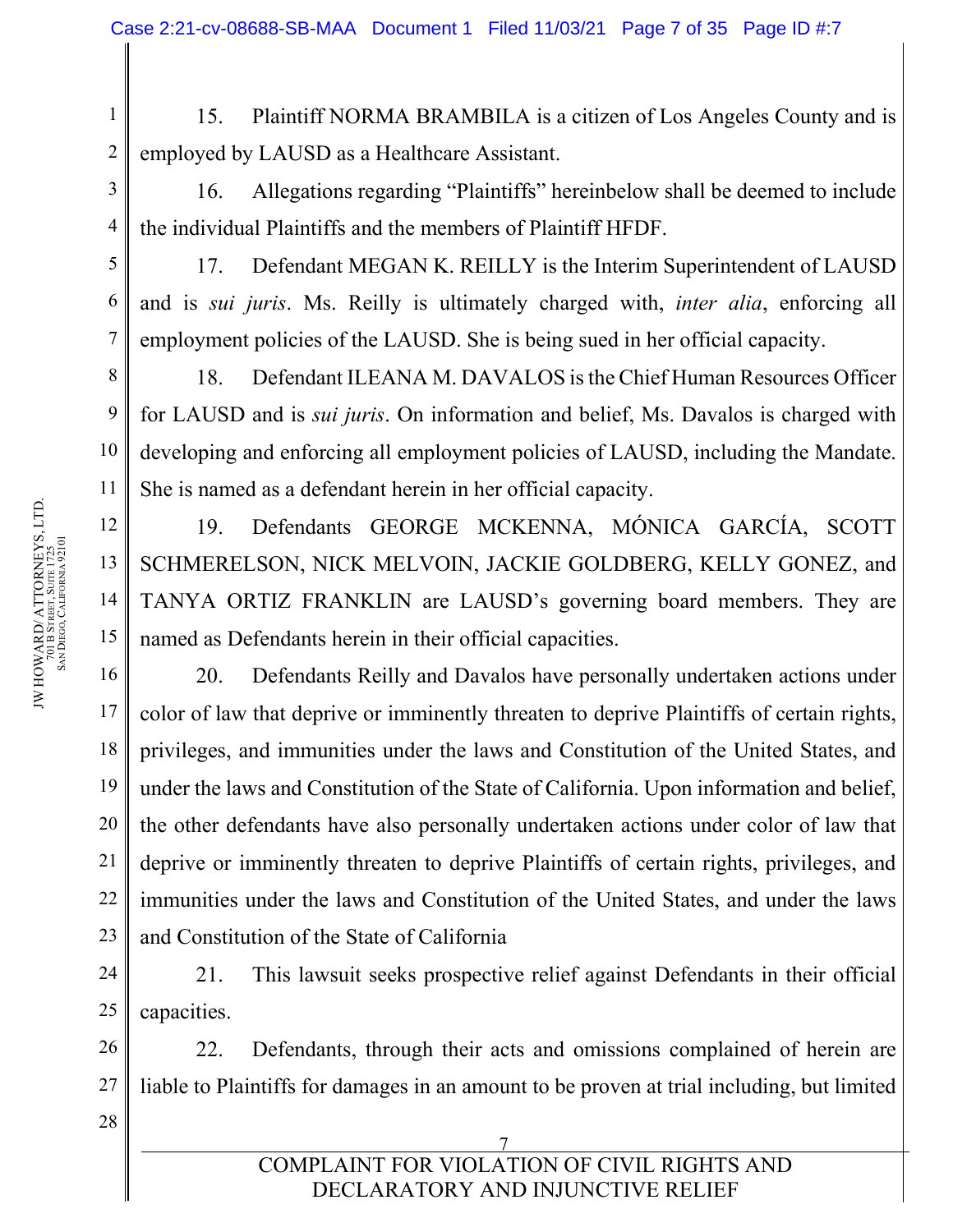1 2 15. Plaintiff NORMA BRAMBILA is a citizen of Los Angeles County and is employed by LAUSD as a Healthcare Assistant.

16. Allegations regarding "Plaintiffs" hereinbelow shall be deemed to include the individual Plaintiffs and the members of Plaintiff HFDF.

17. Defendant MEGAN K. REILLY is the Interim Superintendent of LAUSD and is *sui juris*. Ms. Reilly is ultimately charged with, *inter alia*, enforcing all employment policies of the LAUSD. She is being sued in her official capacity.

18. Defendant ILEANA M. DAVALOS is the Chief Human Resources Officer for LAUSD and is *sui juris*. On information and belief, Ms. Davalos is charged with developing and enforcing all employment policies of LAUSD, including the Mandate. She is named as a defendant herein in her official capacity.

19. Defendants GEORGE MCKENNA, MÓNICA GARCÍA, SCOTT SCHMERELSON, NICK MELVOIN, JACKIE GOLDBERG, KELLY GONEZ, and TANYA ORTIZ FRANKLIN are LAUSD's governing board members. They are named as Defendants herein in their official capacities.

20. Defendants Reilly and Davalos have personally undertaken actions under color of law that deprive or imminently threaten to deprive Plaintiffs of certain rights, privileges, and immunities under the laws and Constitution of the United States, and under the laws and Constitution of the State of California. Upon information and belief, the other defendants have also personally undertaken actions under color of law that deprive or imminently threaten to deprive Plaintiffs of certain rights, privileges, and immunities under the laws and Constitution of the United States, and under the laws and Constitution of the State of California

24 25 21. This lawsuit seeks prospective relief against Defendants in their official capacities.

26 27 22. Defendants, through their acts and omissions complained of herein are liable to Plaintiffs for damages in an amount to be proven at trial including, but limited

28

3

4

5

6

7

8

9

10

11

12

13

14

15

16

17

18

19

20

21

22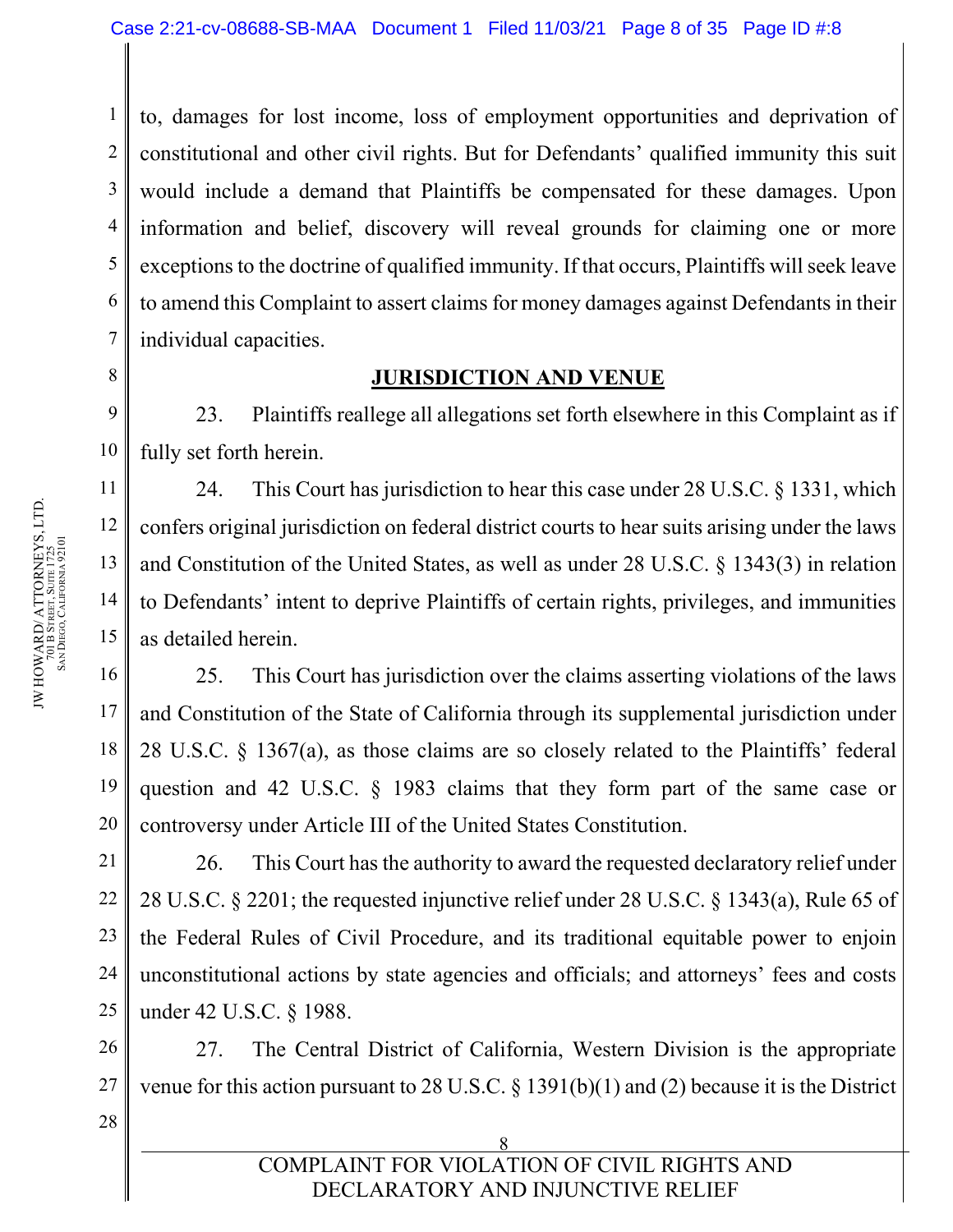1 2 3 4 5 6 7 to, damages for lost income, loss of employment opportunities and deprivation of constitutional and other civil rights. But for Defendants' qualified immunity this suit would include a demand that Plaintiffs be compensated for these damages. Upon information and belief, discovery will reveal grounds for claiming one or more exceptions to the doctrine of qualified immunity. If that occurs, Plaintiffs will seek leave to amend this Complaint to assert claims for money damages against Defendants in their individual capacities.

### **JURISDICTION AND VENUE**

9 10 23. Plaintiffs reallege all allegations set forth elsewhere in this Complaint as if fully set forth herein.

24. This Court has jurisdiction to hear this case under 28 U.S.C. § 1331, which confers original jurisdiction on federal district courts to hear suits arising under the laws and Constitution of the United States, as well as under 28 U.S.C. § 1343(3) in relation to Defendants' intent to deprive Plaintiffs of certain rights, privileges, and immunities as detailed herein.

25. This Court has jurisdiction over the claims asserting violations of the laws and Constitution of the State of California through its supplemental jurisdiction under 28 U.S.C. § 1367(a), as those claims are so closely related to the Plaintiffs' federal question and 42 U.S.C. § 1983 claims that they form part of the same case or controversy under Article III of the United States Constitution.

21 22 23 24 25 26. This Court has the authority to award the requested declaratory relief under 28 U.S.C. § 2201; the requested injunctive relief under 28 U.S.C. § 1343(a), Rule 65 of the Federal Rules of Civil Procedure, and its traditional equitable power to enjoin unconstitutional actions by state agencies and officials; and attorneys' fees and costs under 42 U.S.C. § 1988.

26 27 27. The Central District of California, Western Division is the appropriate venue for this action pursuant to 28 U.S.C. § 1391(b)(1) and (2) because it is the District

> 8 COMPLAINT FOR VIOLATION OF CIVIL RIGHTS AND DECLARATORY AND INJUNCTIVE RELIEF

8

11

12

13

14

15

16

17

18

19

20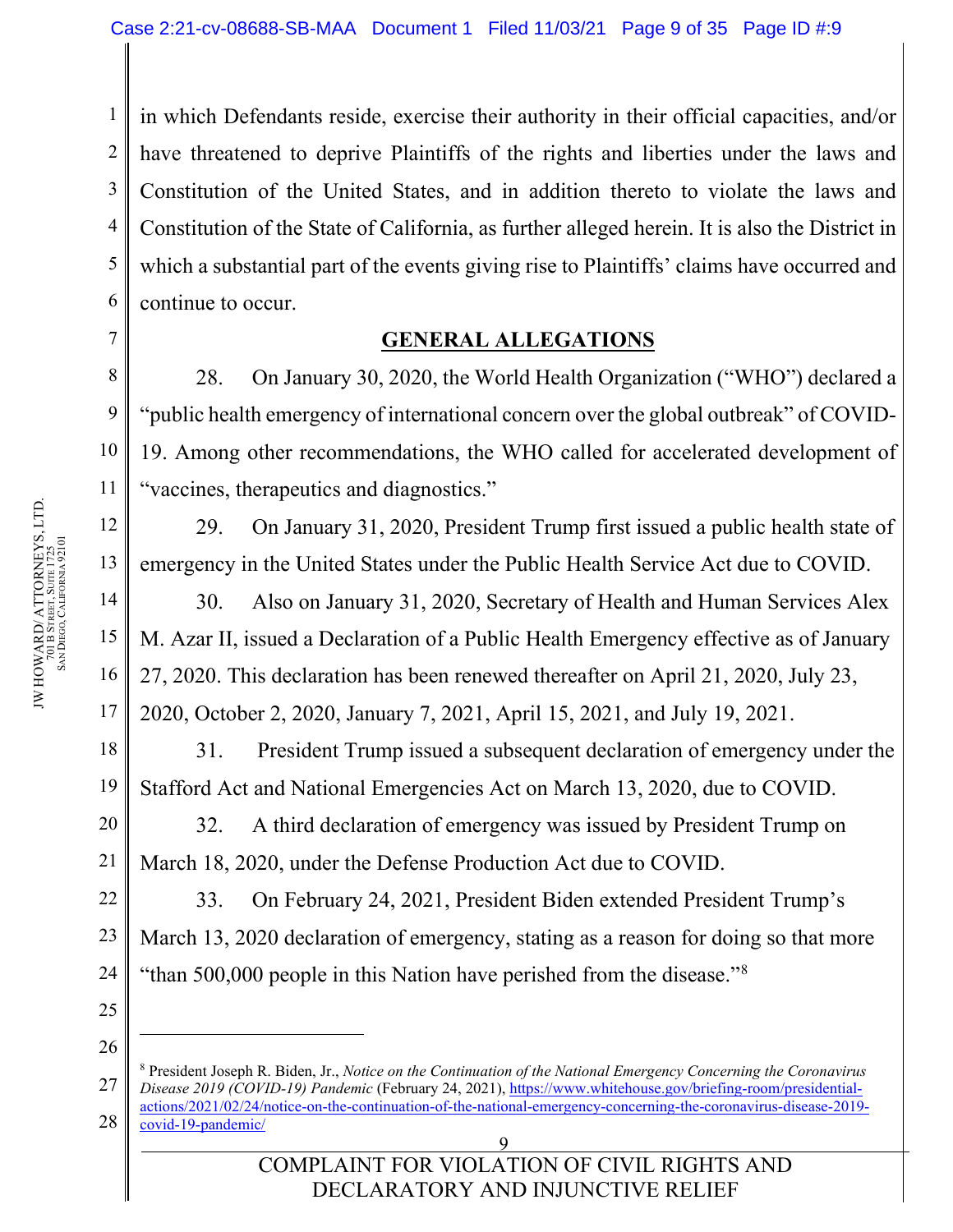1 2 3 4 5 6 in which Defendants reside, exercise their authority in their official capacities, and/or have threatened to deprive Plaintiffs of the rights and liberties under the laws and Constitution of the United States, and in addition thereto to violate the laws and Constitution of the State of California, as further alleged herein. It is also the District in which a substantial part of the events giving rise to Plaintiffs' claims have occurred and continue to occur.

### **GENERAL ALLEGATIONS**

28. On January 30, 2020, the World Health Organization ("WHO") declared a "public health emergency of international concern over the global outbreak" of COVID-19. Among other recommendations, the WHO called for accelerated development of "vaccines, therapeutics and diagnostics."

29. On January 31, 2020, President Trump first issued a public health state of emergency in the United States under the Public Health Service Act due to COVID.

30. Also on January 31, 2020, Secretary of Health and Human Services Alex M. Azar II, issued a Declaration of a Public Health Emergency effective as of January 27, 2020. This declaration has been renewed thereafter on April 21, 2020, July 23,

2020, October 2, 2020, January 7, 2021, April 15, 2021, and July 19, 2021.

31. President Trump issued a subsequent declaration of emergency under the Stafford Act and National Emergencies Act on March 13, 2020, due to COVID.

20 32. A third declaration of emergency was issued by President Trump on March 18, 2020, under the Defense Production Act due to COVID.

22 23 24 33. On February 24, 2021, President Biden extended President Trump's March 13, 2020 declaration of emergency, stating as a reason for doing so that more "than 500,000 people in this Nation have perished from the disease."[8](#page-8-0)

25 26

7

8

9

10

11

12

13

14

15

16

17

18

19

<span id="page-8-0"></span><sup>27</sup> 28 <sup>8</sup> President Joseph R. Biden, Jr., *Notice on the Continuation of the National Emergency Concerning the Coronavirus Disease 2019 (COVID-19) Pandemic* (February 24, 2021)[, https://www.whitehouse.gov/briefing-room/presidential](https://www.whitehouse.gov/briefing-room/presidential-actions/2021/02/24/notice-on-the-continuation-of-the-national-emergency-concerning-the-coronavirus-disease-2019-covid-19-pandemic/)[actions/2021/02/24/notice-on-the-continuation-of-the-national-emergency-concerning-the-coronavirus-disease-2019](https://www.whitehouse.gov/briefing-room/presidential-actions/2021/02/24/notice-on-the-continuation-of-the-national-emergency-concerning-the-coronavirus-disease-2019-covid-19-pandemic/) [covid-19-pandemic/](https://www.whitehouse.gov/briefing-room/presidential-actions/2021/02/24/notice-on-the-continuation-of-the-national-emergency-concerning-the-coronavirus-disease-2019-covid-19-pandemic/)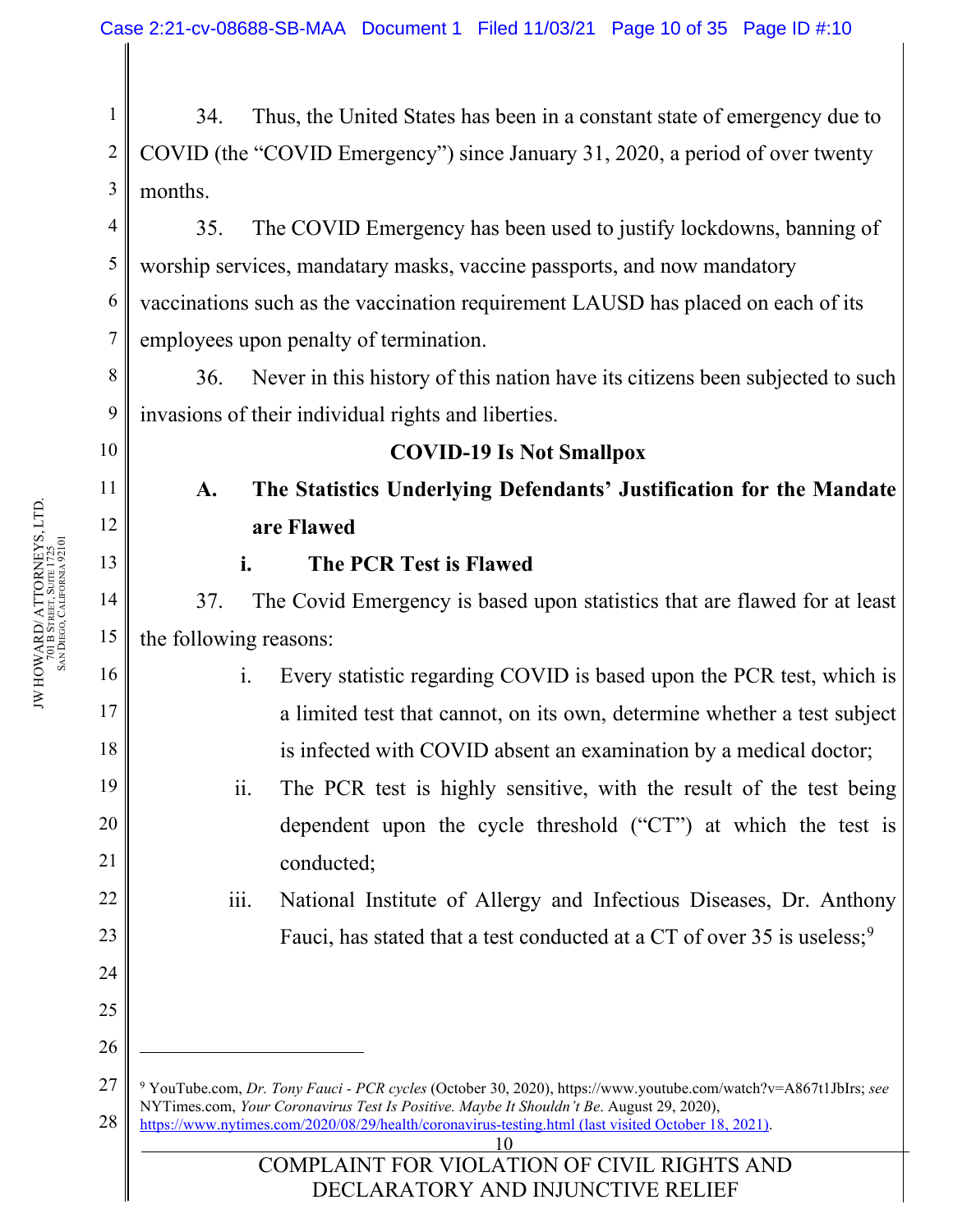1 2 3 34. Thus, the United States has been in a constant state of emergency due to COVID (the "COVID Emergency") since January 31, 2020, a period of over twenty months.

4 5 6 7 35. The COVID Emergency has been used to justify lockdowns, banning of worship services, mandatary masks, vaccine passports, and now mandatory vaccinations such as the vaccination requirement LAUSD has placed on each of its employees upon penalty of termination.

36. Never in this history of this nation have its citizens been subjected to such invasions of their individual rights and liberties.

# 10

8

9

11

12

13

14

15

16

17

18

19

20

21

22

23

24

25

26

### **COVID-19 Is Not Smallpox**

**A. The Statistics Underlying Defendants' Justification for the Mandate are Flawed**

### **i. The PCR Test is Flawed**

37. The Covid Emergency is based upon statistics that are flawed for at least the following reasons:

- i. Every statistic regarding COVID is based upon the PCR test, which is a limited test that cannot, on its own, determine whether a test subject is infected with COVID absent an examination by a medical doctor;
- ii. The PCR test is highly sensitive, with the result of the test being dependent upon the cycle threshold ("CT") at which the test is conducted;
	- iii. National Institute of Allergy and Infectious Diseases, Dr. Anthony Fauci, has stated that a test conducted at a CT of over 35 is useless;<sup>[9](#page-9-0)</sup>

<span id="page-9-0"></span>27 28 <sup>9</sup> YouTube.com, *Dr. Tony Fauci - PCR cycles* (October 30, 2020), https://www.youtube.com/watch?v=A867t1JbIrs; *see*  NYTimes.com, *Your Coronavirus Test Is Positive. Maybe It Shouldn't Be*. August 29, 2020), <https://www.nytimes.com/2020/08/29/health/coronavirus-testing.html> (last visited October 18, 2021).

10

### COMPLAINT FOR VIOLATION OF CIVIL RIGHTS AND DECLARATORY AND INJUNCTIVE RELIEF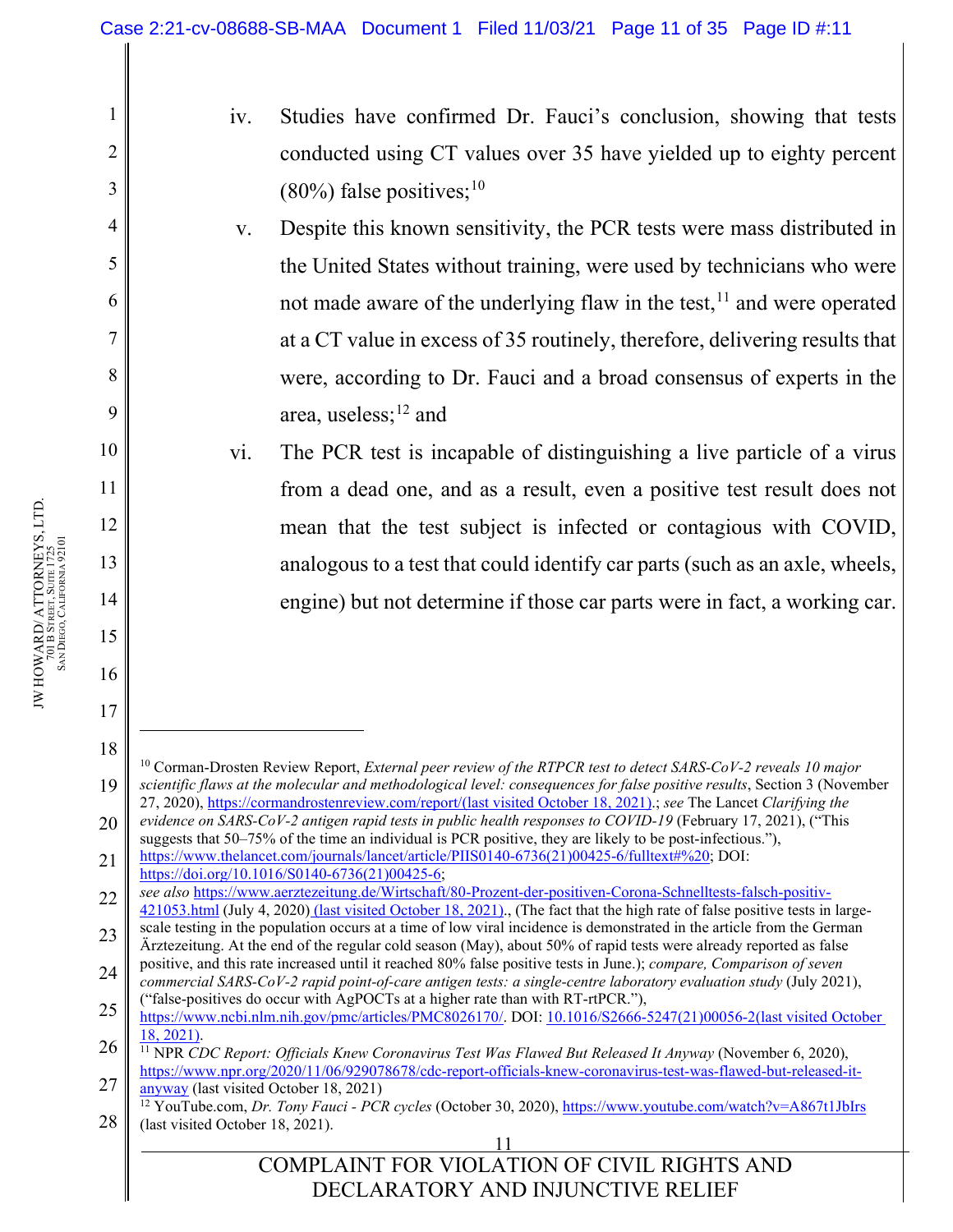- iv. Studies have confirmed Dr. Fauci's conclusion, showing that tests conducted using CT values over 35 have yielded up to eighty percent  $(80\%)$  false positives;<sup>[10](#page-10-0)</sup>
- v. Despite this known sensitivity, the PCR tests were mass distributed in the United States without training, were used by technicians who were not made aware of the underlying flaw in the test, $11$  and were operated at a CT value in excess of 35 routinely, therefore, delivering results that were, according to Dr. Fauci and a broad consensus of experts in the area, useless;<sup>[12](#page-10-2)</sup> and
- vi. The PCR test is incapable of distinguishing a live particle of a virus from a dead one, and as a result, even a positive test result does not mean that the test subject is infected or contagious with COVID, analogous to a test that could identify car parts (such as an axle, wheels, engine) but not determine if those car parts were in fact, a working car.

22 *see also* [https://www.aerztezeitung.de/Wirtschaft/80-Prozent-der-positiven-Corona-Schnelltests-falsch-positiv-](https://www.aerztezeitung.de/Wirtschaft/80-Prozent-der-positiven-Corona-Schnelltests-falsch-positiv-421053.html)[421053.html](https://www.aerztezeitung.de/Wirtschaft/80-Prozent-der-positiven-Corona-Schnelltests-falsch-positiv-421053.html) (July 4, 2020) (last visited October 18, 2021)., (The fact that the high rate of false positive tests in large-

1

2

3

4

5

6

7

8

9

10

11

12

13

14

15

16

17

<span id="page-10-0"></span><sup>19</sup> <sup>10</sup> Corman-Drosten Review Report, *External peer review of the RTPCR test to detect SARS-CoV-2 reveals 10 major scientific flaws at the molecular and methodological level: consequences for false positive results*, Section 3 (November 27, 2020), [https://cormandrostenreview.com/report/\(](https://cormandrostenreview.com/report/)last visited October 18, 2021).; *see* The Lancet *Clarifying the evidence on SARS-CoV-2 antigen rapid tests in public health responses to COVID-19* (February 17, 2021), ("This

<sup>20</sup> 21 suggests that 50–75% of the time an individual is PCR positive, they are likely to be post-infectious."), [https://www.thelancet.com/journals/lancet/article/PIIS0140-6736\(21\)00425-6/fulltext#%20;](https://www.thelancet.com/journals/lancet/article/PIIS0140-6736(21)00425-6/fulltext#%20) DOI:

[https://doi.org/10.1016/S0140-6736\(21\)00425-6;](https://doi.org/10.1016/S0140-6736(21)00425-6)

<sup>23</sup> scale testing in the population occurs at a time of low viral incidence is demonstrated in the article from the German Ärztezeitung. At the end of the regular cold season (May), about 50% of rapid tests were already reported as false

<sup>24</sup> positive, and this rate increased until it reached 80% false positive tests in June.); *compare, Comparison of seven commercial SARS-CoV-2 rapid point-of-care antigen tests: a single-centre laboratory evaluation study* (July 2021), ("false-positives do occur with AgPOCTs at a higher rate than with RT-rtPCR."),

<sup>25</sup> [https://www.ncbi.nlm.nih.gov/pmc/articles/PMC8026170/.](https://www.ncbi.nlm.nih.gov/pmc/articles/PMC8026170/) DOI: [10.1016/S2666-5247\(21\)00056-2\(](https://dx.doi.org/10.1016%2FS2666-5247(21)00056-2)last visited October 18, 2021).

<span id="page-10-1"></span><sup>26</sup> 27 <sup>11</sup> NPR *CDC Report: Officials Knew Coronavirus Test Was Flawed But Released It Anyway* (November 6, 2020), [https://www.npr.org/2020/11/06/929078678/cdc-report-officials-knew-coronavirus-test-was-flawed-but-released-it-](https://www.npr.org/2020/11/06/929078678/cdc-report-officials-knew-coronavirus-test-was-flawed-but-released-it-anyway)

[anyway](https://www.npr.org/2020/11/06/929078678/cdc-report-officials-knew-coronavirus-test-was-flawed-but-released-it-anyway) (last visited October 18, 2021)

<span id="page-10-2"></span><sup>28</sup> <sup>12</sup> YouTube.com, *Dr. Tony Fauci - PCR cycles* (October 30, 2020)[, https://www.youtube.com/watch?v=A867t1JbIrs](https://www.youtube.com/watch?v=A867t1JbIrs) (last visited October 18, 2021).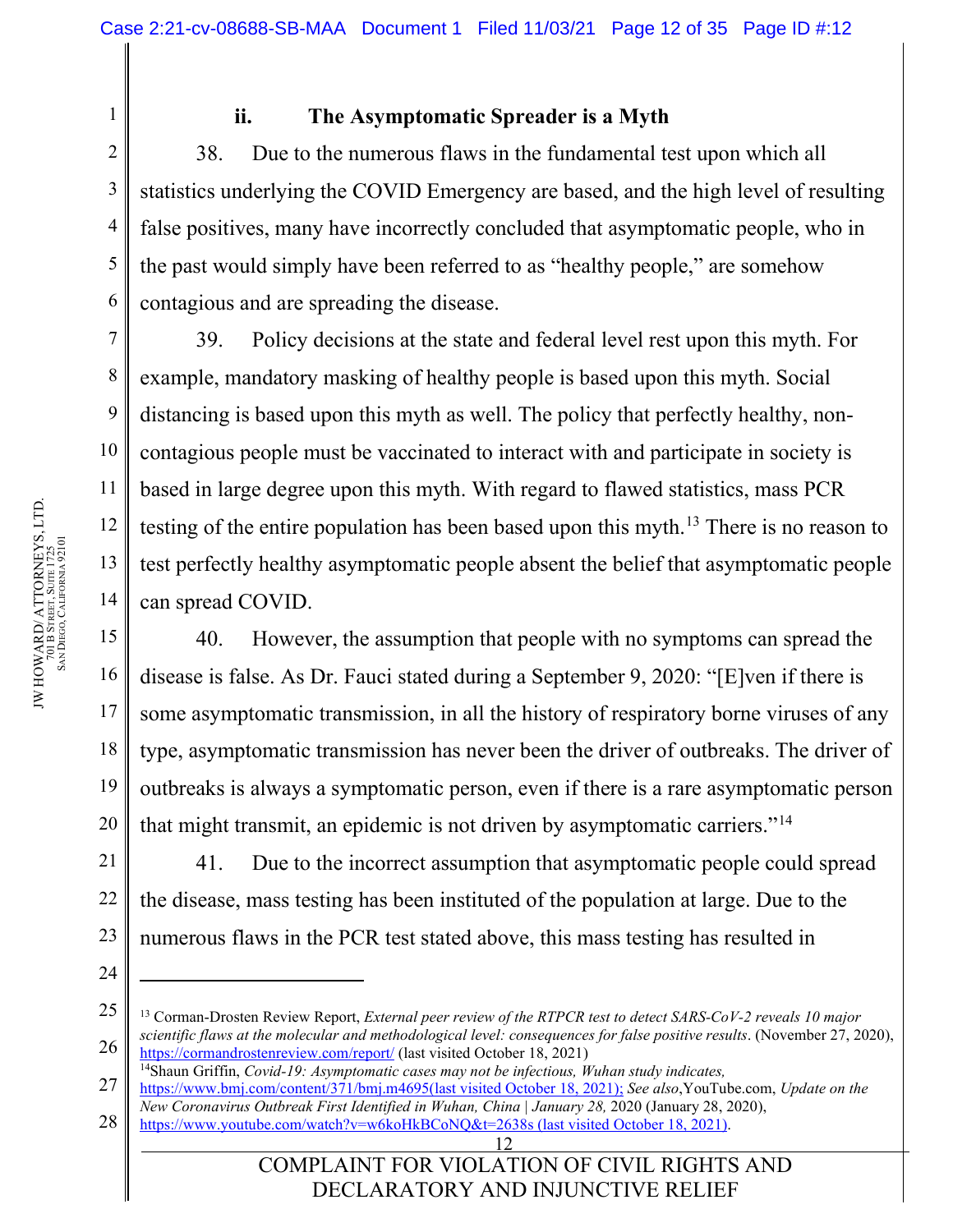1

2

3

4

5

6

7

8

9

10

11

12

13

14

15

16

17

18

19

20

24

### **ii. The Asymptomatic Spreader is a Myth**

38. Due to the numerous flaws in the fundamental test upon which all statistics underlying the COVID Emergency are based, and the high level of resulting false positives, many have incorrectly concluded that asymptomatic people, who in the past would simply have been referred to as "healthy people," are somehow contagious and are spreading the disease.

39. Policy decisions at the state and federal level rest upon this myth. For example, mandatory masking of healthy people is based upon this myth. Social distancing is based upon this myth as well. The policy that perfectly healthy, noncontagious people must be vaccinated to interact with and participate in society is based in large degree upon this myth. With regard to flawed statistics, mass PCR testing of the entire population has been based upon this myth.<sup>[13](#page-11-0)</sup> There is no reason to test perfectly healthy asymptomatic people absent the belief that asymptomatic people can spread COVID.

40. However, the assumption that people with no symptoms can spread the disease is false. As Dr. Fauci stated during a September 9, 2020: "[E]ven if there is some asymptomatic transmission, in all the history of respiratory borne viruses of any type, asymptomatic transmission has never been the driver of outbreaks. The driver of outbreaks is always a symptomatic person, even if there is a rare asymptomatic person that might transmit, an epidemic is not driven by asymptomatic carriers."<sup>[14](#page-11-1)</sup>

21 22 23 41. Due to the incorrect assumption that asymptomatic people could spread the disease, mass testing has been instituted of the population at large. Due to the numerous flaws in the PCR test stated above, this mass testing has resulted in

<span id="page-11-1"></span>27 28 [https://www.bmj.com/content/371/bmj.m4695\(last](https://www.bmj.com/content/371/bmj.m4695(last) visited October 18, 2021); *See also*,YouTube.com, *Update on the New Coronavirus Outbreak First Identified in Wuhan, China | January 28,* 2020 (January 28, 2020),

COMPLAINT FOR VIOLATION OF CIVIL RIGHTS AND DECLARATORY AND INJUNCTIVE RELIEF

<span id="page-11-0"></span><sup>25</sup> 26 <sup>13</sup> Corman-Drosten Review Report, *External peer review of the RTPCR test to detect SARS-CoV-2 reveals 10 major scientific flaws at the molecular and methodological level: consequences for false positive results*. (November 27, 2020), <https://cormandrostenreview.com/report/> (last visited October 18, 2021)

<sup>14</sup>Shaun Griffin, *Covid-19: Asymptomatic cases may not be infectious, Wuhan study indicates,*

<https://www.youtube.com/watch?v=w6koHkBCoNQ&t=2638s> (last visited October 18, 2021).

<sup>12</sup>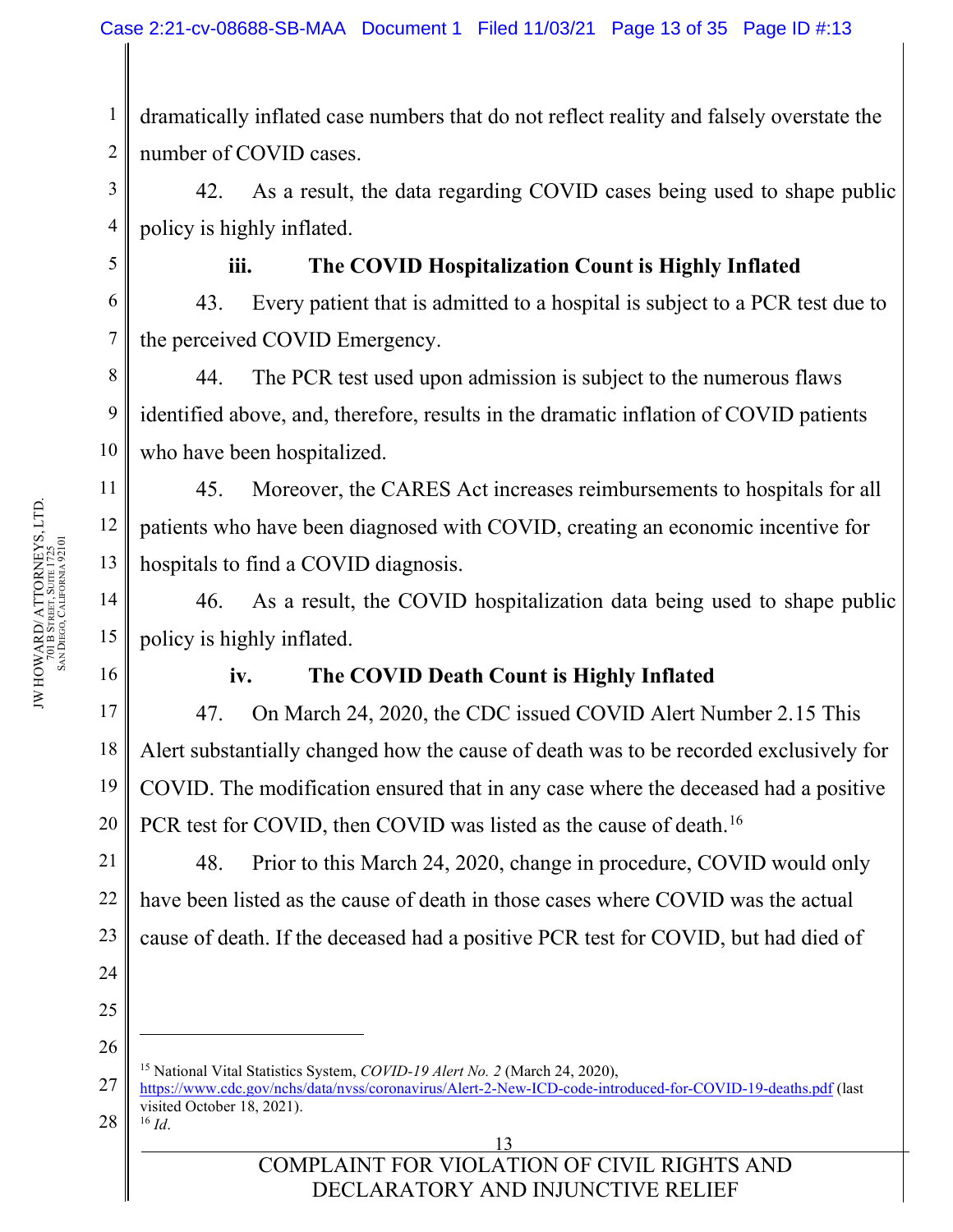1 2 dramatically inflated case numbers that do not reflect reality and falsely overstate the number of COVID cases.

42. As a result, the data regarding COVID cases being used to shape public policy is highly inflated.

3

4

5

6

7

11

12

13

14

15

### **iii. The COVID Hospitalization Count is Highly Inflated**

43. Every patient that is admitted to a hospital is subject to a PCR test due to the perceived COVID Emergency.

8 9 10 44. The PCR test used upon admission is subject to the numerous flaws identified above, and, therefore, results in the dramatic inflation of COVID patients who have been hospitalized.

45. Moreover, the CARES Act increases reimbursements to hospitals for all patients who have been diagnosed with COVID, creating an economic incentive for hospitals to find a COVID diagnosis.

46. As a result, the COVID hospitalization data being used to shape public policy is highly inflated.

16

17

18

19

20

21

22

23

24

#### **iv. The COVID Death Count is Highly Inflated**

47. On March 24, 2020, the CDC issued COVID Alert Number 2.[15](#page-12-0) This Alert substantially changed how the cause of death was to be recorded exclusively for COVID. The modification ensured that in any case where the deceased had a positive PCR test for COVID, then COVID was listed as the cause of death.<sup>16</sup>

48. Prior to this March 24, 2020, change in procedure, COVID would only have been listed as the cause of death in those cases where COVID was the actual cause of death. If the deceased had a positive PCR test for COVID, but had died of

25

26

<sup>15</sup> National Vital Statistics System, *COVID-19 Alert No. 2* (March 24, 2020),

<span id="page-12-1"></span><span id="page-12-0"></span><sup>27</sup> 28 <https://www.cdc.gov/nchs/data/nvss/coronavirus/Alert-2-New-ICD-code-introduced-for-COVID-19-deaths.pdf> (last visited October 18, 2021). <sup>16</sup> *Id*.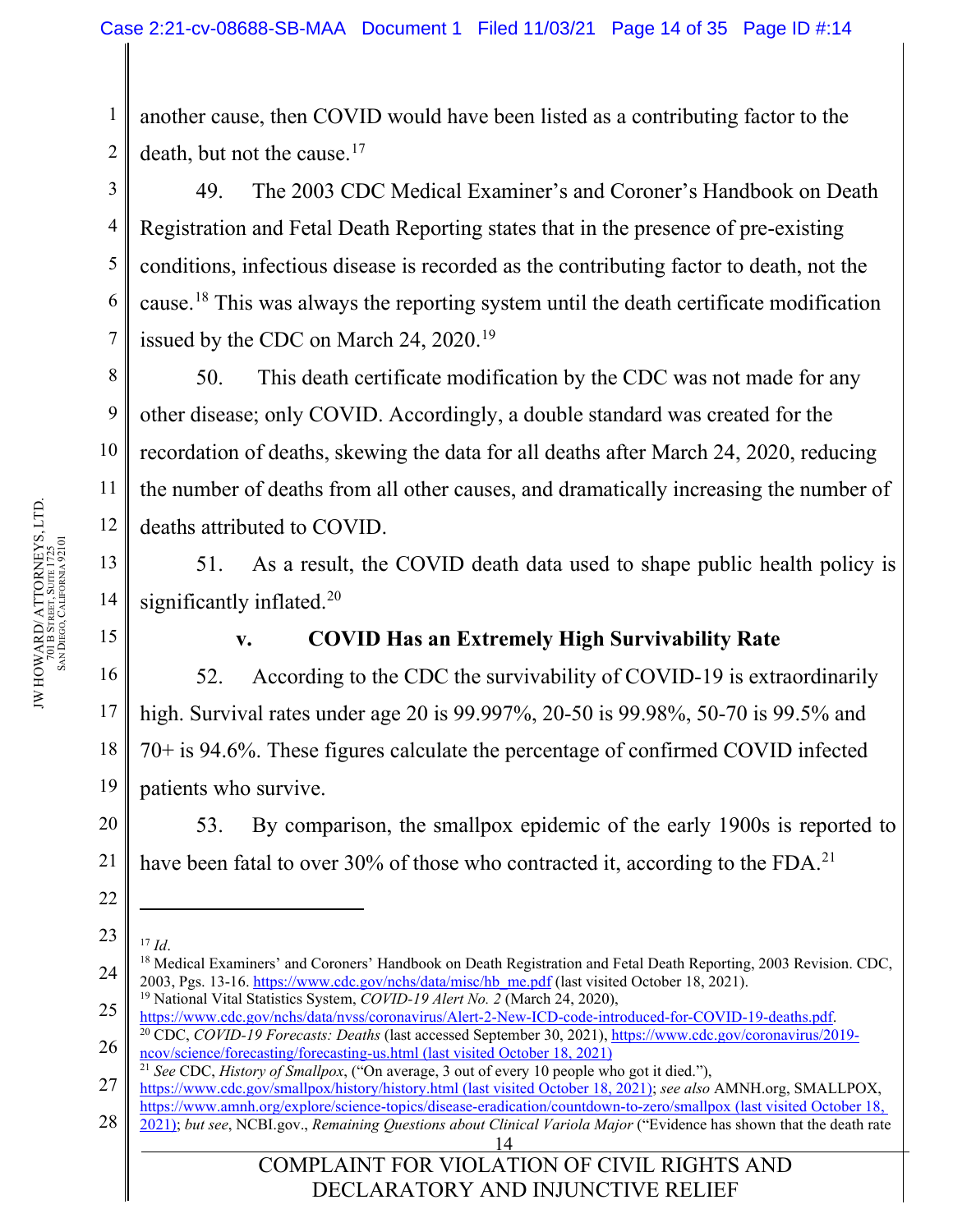1 2 another cause, then COVID would have been listed as a contributing factor to the death, but not the cause. $17$ 

49. The 2003 CDC Medical Examiner's and Coroner's Handbook on Death Registration and Fetal Death Reporting states that in the presence of pre-existing conditions, infectious disease is recorded as the contributing factor to death, not the cause.[18](#page-13-1) This was always the reporting system until the death certificate modification issued by the CDC on March 24, 2020.<sup>19</sup>

50. This death certificate modification by the CDC was not made for any other disease; only COVID. Accordingly, a double standard was created for the recordation of deaths, skewing the data for all deaths after March 24, 2020, reducing the number of deaths from all other causes, and dramatically increasing the number of deaths attributed to COVID.

51. As a result, the COVID death data used to shape public health policy is significantly inflated.<sup>[20](#page-13-3)</sup>

**v. COVID Has an Extremely High Survivability Rate**

52. According to the CDC the survivability of COVID-19 is extraordinarily high. Survival rates under age 20 is 99.997%, 20-50 is 99.98%, 50-70 is 99.5% and 70+ is 94.6%. These figures calculate the percentage of confirmed COVID infected patients who survive.

20 53. By comparison, the smallpox epidemic of the early 1900s is reported to have been fatal to over 30% of those who contracted it, according to the FDA.<sup>[21](#page-13-4)</sup>

<span id="page-13-2"></span>25 [https://www.cdc.gov/nchs/data/nvss/coronavirus/Alert-2-New-ICD-code-introduced-for-COVID-19-deaths.pdf.](https://www.cdc.gov/nchs/data/nvss/coronavirus/Alert-2-New-ICD-code-introduced-for-COVID-19-deaths.pdf)

<span id="page-13-4"></span>27 <https://www.cdc.gov/smallpox/history/history.html> (last visited October 18, 2021); *see also* AMNH.org, SMALLPOX, <https://www.amnh.org/explore/science-topics/disease-eradication/countdown-to-zero/smallpox> (last visited October 18,

14 28 2021); *but see*, NCBI.gov., *Remaining Questions about Clinical Variola Major* ("Evidence has shown that the death rate

COMPLAINT FOR VIOLATION OF CIVIL RIGHTS AND DECLARATORY AND INJUNCTIVE RELIEF

3

4

5

6

7

8

9

10

11

12

13

14

15

16

17

18

19

21

<span id="page-13-0"></span><sup>23</sup> <sup>17</sup> *Id*.

<span id="page-13-1"></span><sup>24</sup> <sup>18</sup> Medical Examiners' and Coroners' Handbook on Death Registration and Fetal Death Reporting, 2003 Revision. CDC, 2003, Pgs. 13-16. [https://www.cdc.gov/nchs/data/misc/hb\\_me.pdf](https://www.cdc.gov/nchs/data/misc/hb_me.pdf) (last visited October 18, 2021). <sup>19</sup> National Vital Statistics System, *COVID-19 Alert No. 2* (March 24, 2020),

<span id="page-13-3"></span><sup>26</sup> <sup>20</sup> CDC, *COVID-19 Forecasts: Deaths* (last accessed September 30, 2021), [https://www.cdc.gov/coronavirus/2019](https://www.cdc.gov/coronavirus/2019-ncov/science/forecasting/forecasting-us.html) [ncov/science/forecasting/forecasting-us.html](https://www.cdc.gov/coronavirus/2019-ncov/science/forecasting/forecasting-us.html) (last visited October 18, 2021)

<sup>21</sup> *See* CDC, *History of Smallpox*, ("On average, 3 out of every 10 people who got it died."),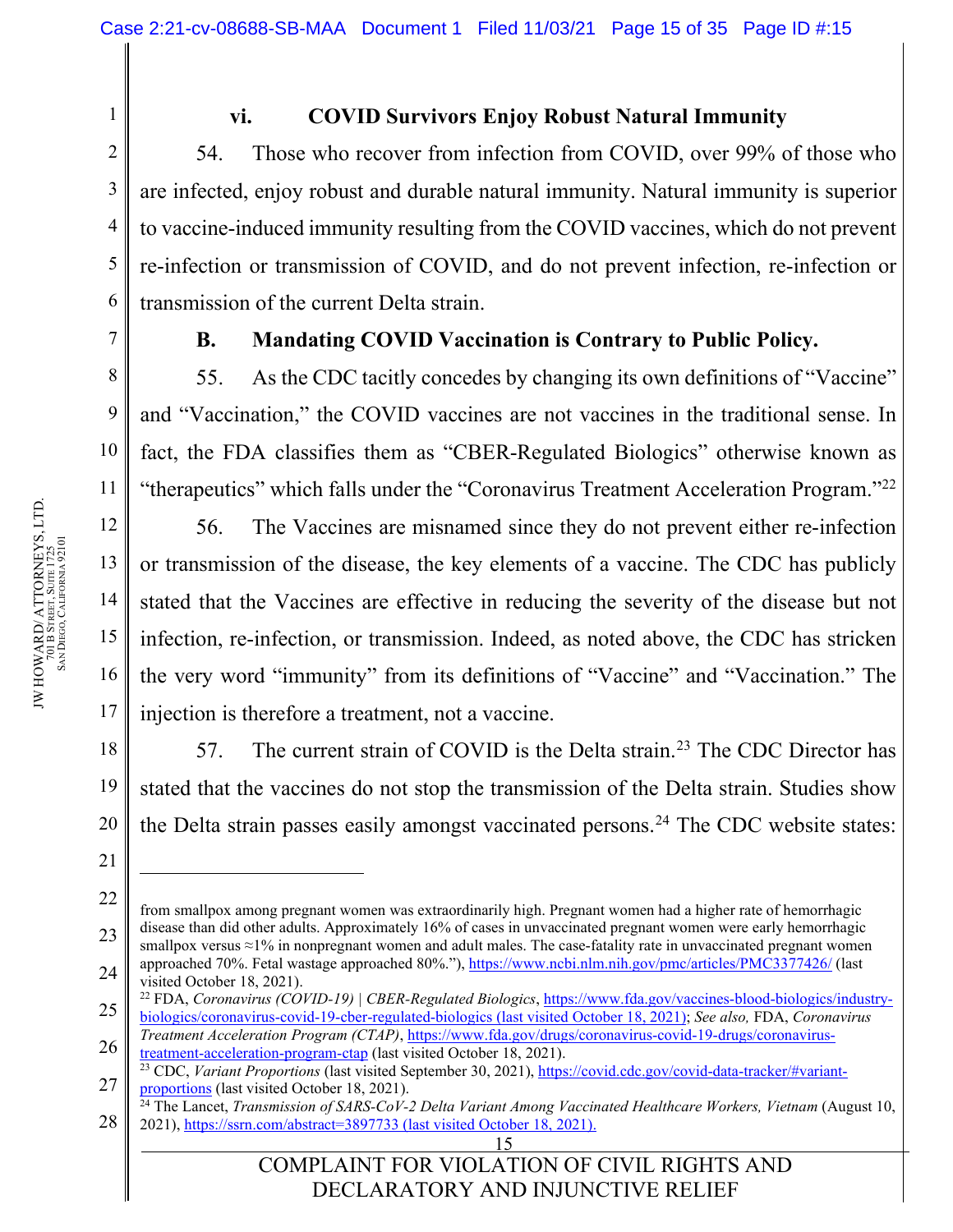**vi. COVID Survivors Enjoy Robust Natural Immunity**

54. Those who recover from infection from COVID, over 99% of those who are infected, enjoy robust and durable natural immunity. Natural immunity is superior to vaccine-induced immunity resulting from the COVID vaccines, which do not prevent re-infection or transmission of COVID, and do not prevent infection, re-infection or transmission of the current Delta strain.

1

2

3

4

5

6

7

8

9

10

11

12

13

14

15

16

17

18

19

20

21

### **B. Mandating COVID Vaccination is Contrary to Public Policy.**

55. As the CDC tacitly concedes by changing its own definitions of "Vaccine" and "Vaccination," the COVID vaccines are not vaccines in the traditional sense. In fact, the FDA classifies them as "CBER-Regulated Biologics" otherwise known as "therapeutics" which falls under the "Coronavirus Treatment Acceleration Program."<sup>[22](#page-14-0)</sup>

56. The Vaccines are misnamed since they do not prevent either re-infection or transmission of the disease, the key elements of a vaccine. The CDC has publicly stated that the Vaccines are effective in reducing the severity of the disease but not infection, re-infection, or transmission. Indeed, as noted above, the CDC has stricken the very word "immunity" from its definitions of "Vaccine" and "Vaccination." The injection is therefore a treatment, not a vaccine.

57. The current strain of COVID is the Delta strain.<sup>[23](#page-14-1)</sup> The CDC Director has stated that the vaccines do not stop the transmission of the Delta strain. Studies show the Delta strain passes easily amongst vaccinated persons.<sup>[24](#page-14-2)</sup> The CDC website states:

<sup>22</sup> 23 24 from smallpox among pregnant women was extraordinarily high. Pregnant women had a higher rate of hemorrhagic disease than did other adults. Approximately 16% of cases in unvaccinated pregnant women were early hemorrhagic smallpox versus ≈1% in nonpregnant women and adult males. The case-fatality rate in unvaccinated pregnant women approached 70%. Fetal wastage approached 80%."), <https://www.ncbi.nlm.nih.gov/pmc/articles/PMC3377426/> (last visited October 18, 2021).

<span id="page-14-0"></span><sup>25</sup> <sup>22</sup> FDA, *Coronavirus (COVID-19) | CBER-Regulated Biologics*, [https://www.fda.gov/vaccines-blood-biologics/industry](https://www.fda.gov/vaccines-blood-biologics/industry-biologics/coronavirus-covid-19-cber-regulated-biologics)[biologics/coronavirus-covid-19-cber-regulated-biologics](https://www.fda.gov/vaccines-blood-biologics/industry-biologics/coronavirus-covid-19-cber-regulated-biologics) (last visited October 18, 2021); *See also,* FDA, *Coronavirus* 

<sup>26</sup> *Treatment Acceleration Program (CTAP)*, [https://www.fda.gov/drugs/coronavirus-covid-19-drugs/coronavirus](https://www.fda.gov/drugs/coronavirus-covid-19-drugs/coronavirus-treatment-acceleration-program-ctap)[treatment-acceleration-program-ctap](https://www.fda.gov/drugs/coronavirus-covid-19-drugs/coronavirus-treatment-acceleration-program-ctap) (last visited October 18, 2021).

<span id="page-14-1"></span><sup>27</sup> <sup>23</sup> CDC, *Variant Proportions* (last visited September 30, 2021), [https://covid.cdc.gov/covid-data-tracker/#variant](https://covid.cdc.gov/covid-data-tracker/#variant-proportions)[proportions](https://covid.cdc.gov/covid-data-tracker/#variant-proportions) (last visited October 18, 2021).

<span id="page-14-2"></span><sup>28</sup> <sup>24</sup> The Lancet, *Transmission of SARS-CoV-2 Delta Variant Among Vaccinated Healthcare Workers, Vietnam* (August 10, 2021), <https://ssrn.com/abstract=3897733> (last visited October 18, 2021).

<sup>15</sup>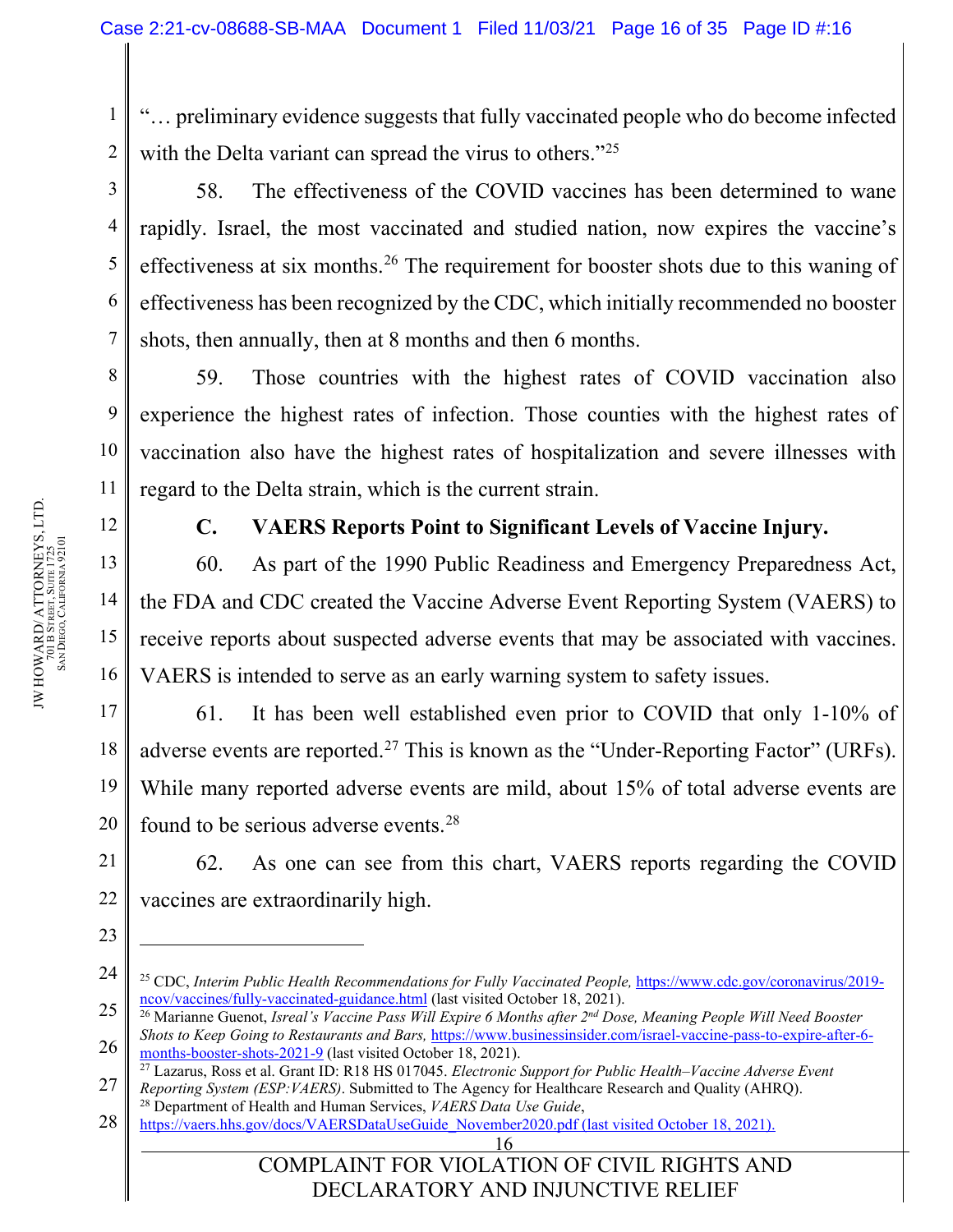"… preliminary evidence suggests that fully vaccinated people who do become infected with the Delta variant can spread the virus to others."<sup>[25](#page-15-0)</sup>

58. The effectiveness of the COVID vaccines has been determined to wane rapidly. Israel, the most vaccinated and studied nation, now expires the vaccine's effectiveness at six months.<sup>[26](#page-15-1)</sup> The requirement for booster shots due to this waning of effectiveness has been recognized by the CDC, which initially recommended no booster shots, then annually, then at 8 months and then 6 months.

59. Those countries with the highest rates of COVID vaccination also experience the highest rates of infection. Those counties with the highest rates of vaccination also have the highest rates of hospitalization and severe illnesses with regard to the Delta strain, which is the current strain.

12

1

2

3

4

5

6

7

8

9

10

11

13

14

15

16

23

### **C. VAERS Reports Point to Significant Levels of Vaccine Injury.**

60. As part of the 1990 Public Readiness and Emergency Preparedness Act, the FDA and CDC created the Vaccine Adverse Event Reporting System (VAERS) to receive reports about suspected adverse events that may be associated with vaccines. VAERS is intended to serve as an early warning system to safety issues.

17 18 19 20 61. It has been well established even prior to COVID that only 1-10% of adverse events are reported.<sup>[27](#page-15-2)</sup> This is known as the "Under-Reporting Factor" (URFs). While many reported adverse events are mild, about 15% of total adverse events are found to be serious adverse events[.28](#page-15-3)

21 22 62. As one can see from this chart, VAERS reports regarding the COVID vaccines are extraordinarily high.

COMPLAINT FOR VIOLATION OF CIVIL RIGHTS AND DECLARATORY AND INJUNCTIVE RELIEF

<span id="page-15-0"></span><sup>24</sup> <sup>25</sup> CDC, Interim Public Health Recommendations for Fully Vaccinated People, [https://www.cdc.gov/coronavirus/2019](https://www.cdc.gov/coronavirus/2019-ncov/vaccines/fully-vaccinated-guidance.html) [ncov/vaccines/fully-vaccinated-guidance.html](https://www.cdc.gov/coronavirus/2019-ncov/vaccines/fully-vaccinated-guidance.html) (last visited October 18, 2021).

<span id="page-15-1"></span><sup>25</sup> 26 <sup>26</sup> Marianne Guenot, *Isreal's Vaccine Pass Will Expire 6 Months after 2nd Dose, Meaning People Will Need Booster Shots to Keep Going to Restaurants and Bars,* [https://www.businessinsider.com/israel-vaccine-pass-to-expire-after-6](https://www.businessinsider.com/israel-vaccine-pass-to-expire-after-6-months-booster-shots-2021-9) [months-booster-shots-2021-9](https://www.businessinsider.com/israel-vaccine-pass-to-expire-after-6-months-booster-shots-2021-9) (last visited October 18, 2021).

<span id="page-15-2"></span><sup>27</sup> <sup>27</sup> Lazarus, Ross et al. Grant ID: R18 HS 017045. *Electronic Support for Public Health–Vaccine Adverse Event Reporting System (ESP:VAERS)*. Submitted to The Agency for Healthcare Research and Quality (AHRQ). <sup>28</sup> Department of Health and Human Services, *VAERS Data Use Guide*,

<span id="page-15-3"></span><sup>28</sup> [https://vaers.hhs.gov/docs/VAERSDataUseGuide\\_November2020.pdf](https://vaers.hhs.gov/docs/VAERSDataUseGuide_November2020.pdf) (last visited October 18, 2021).

<sup>16</sup>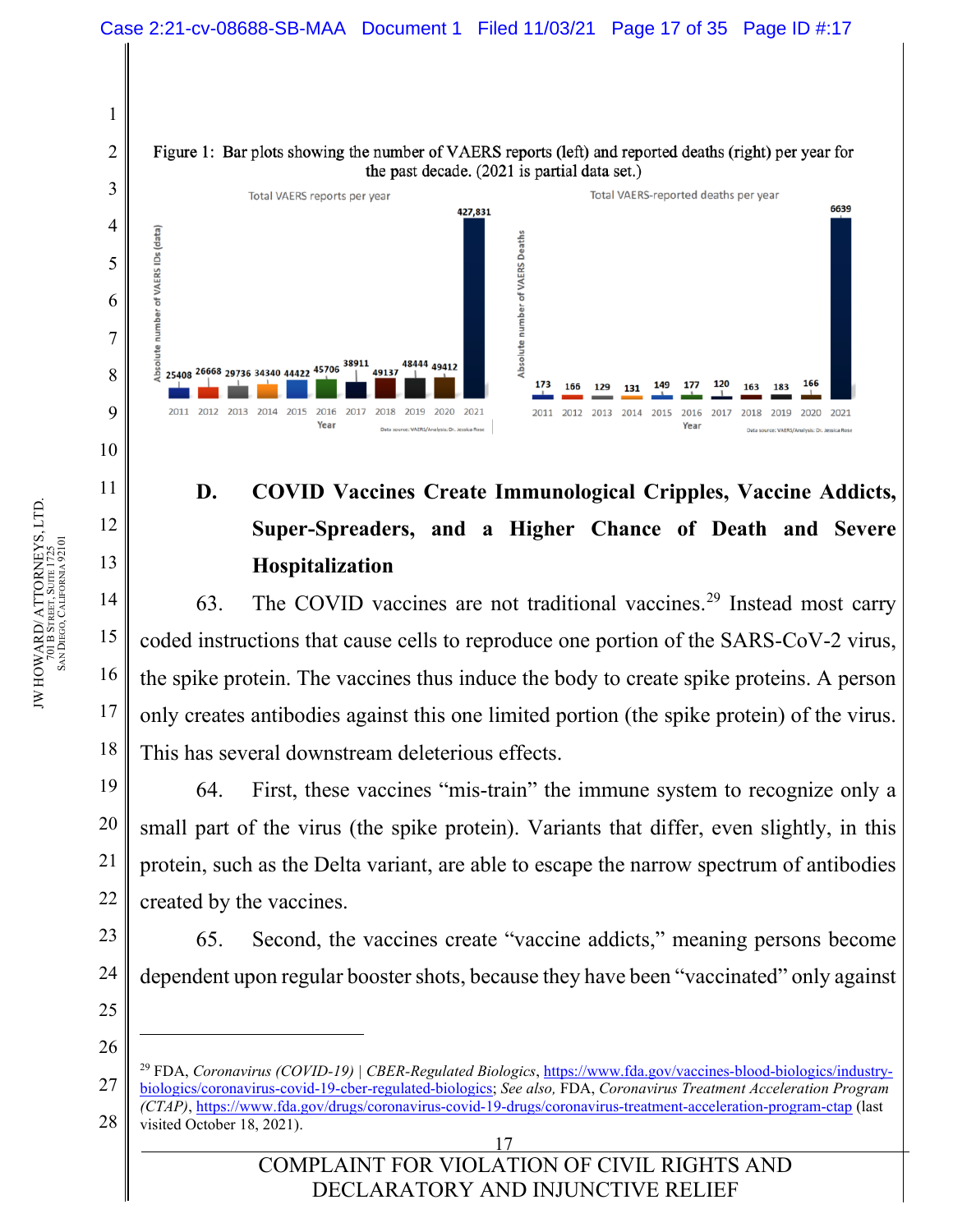

# **D. COVID Vaccines Create Immunological Cripples, Vaccine Addicts, Super-Spreaders, and a Higher Chance of Death and Severe Hospitalization**

63. The COVID vaccines are not traditional vaccines.[29](#page-16-0) Instead most carry coded instructions that cause cells to reproduce one portion of the SARS-CoV-2 virus, the spike protein. The vaccines thus induce the body to create spike proteins. A person only creates antibodies against this one limited portion (the spike protein) of the virus. This has several downstream deleterious effects.

64. First, these vaccines "mis-train" the immune system to recognize only a small part of the virus (the spike protein). Variants that differ, even slightly, in this protein, such as the Delta variant, are able to escape the narrow spectrum of antibodies created by the vaccines.

65. Second, the vaccines create "vaccine addicts," meaning persons become dependent upon regular booster shots, because they have been "vaccinated" only against

25 26

11

12

13

14

15

16

17

18

19

20

21

22

23

<span id="page-16-0"></span><sup>27</sup> 28 <sup>29</sup> FDA, *Coronavirus (COVID-19) | CBER-Regulated Biologics*, [https://www.fda.gov/vaccines-blood-biologics/industry](https://www.fda.gov/vaccines-blood-biologics/industry-biologics/coronavirus-covid-19-cber-regulated-biologics)[biologics/coronavirus-covid-19-cber-regulated-biologics;](https://www.fda.gov/vaccines-blood-biologics/industry-biologics/coronavirus-covid-19-cber-regulated-biologics) *See also,* FDA, *Coronavirus Treatment Acceleration Program (CTAP)*,<https://www.fda.gov/drugs/coronavirus-covid-19-drugs/coronavirus-treatment-acceleration-program-ctap> (last visited October 18, 2021).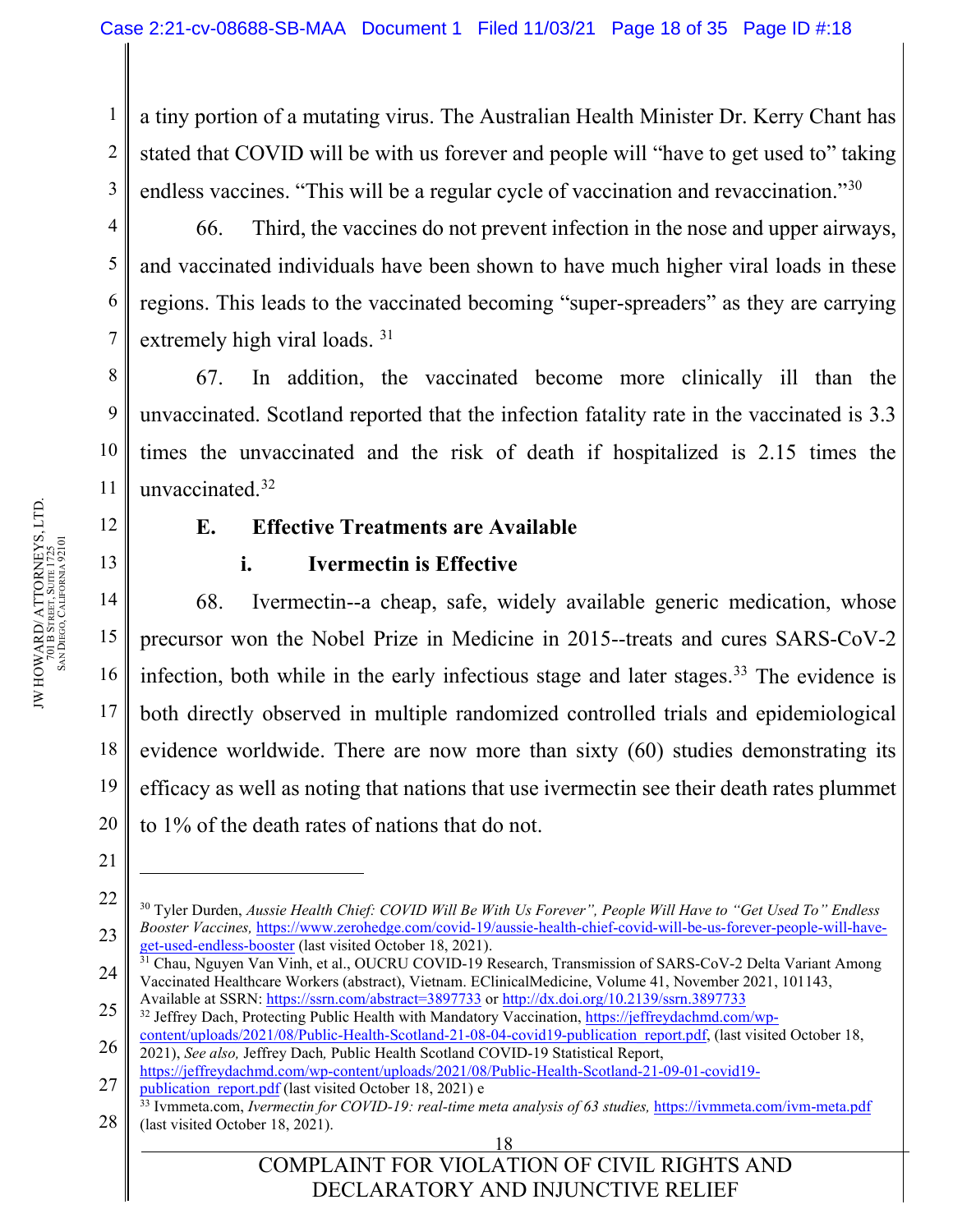1 2 3 a tiny portion of a mutating virus. The Australian Health Minister Dr. Kerry Chant has stated that COVID will be with us forever and people will "have to get used to" taking endless vaccines. "This will be a regular cycle of vaccination and revaccination."<sup>[30](#page-17-0)</sup>

66. Third, the vaccines do not prevent infection in the nose and upper airways, and vaccinated individuals have been shown to have much higher viral loads in these regions. This leads to the vaccinated becoming "super-spreaders" as they are carrying extremely high viral loads.<sup>[31](#page-17-1)</sup>

67. In addition, the vaccinated become more clinically ill than the unvaccinated. Scotland reported that the infection fatality rate in the vaccinated is 3.3 times the unvaccinated and the risk of death if hospitalized is 2.15 times the unvaccinated.[32](#page-17-2)

12

4

5

6

7

8

9

10

11

13

14

15

16

17

18

19

20

### **E. Effective Treatments are Available**

### **i. Ivermectin is Effective**

68. Ivermectin--a cheap, safe, widely available generic medication, whose precursor won the Nobel Prize in Medicine in 2015--treats and cures SARS-CoV-2 infection, both while in the early infectious stage and later stages[.33](#page-17-3) The evidence is both directly observed in multiple randomized controlled trials and epidemiological evidence worldwide. There are now more than sixty (60) studies demonstrating its efficacy as well as noting that nations that use ivermectin see their death rates plummet to 1% of the death rates of nations that do not.

<sup>21</sup>

<span id="page-17-0"></span><sup>22</sup> 23 <sup>30</sup> Tyler Durden, *Aussie Health Chief: COVID Will Be With Us Forever", People Will Have to "Get Used To" Endless Booster Vaccines,* [https://www.zerohedge.com/covid-19/aussie-health-chief-covid-will-be-us-forever-people-will-have-](https://www.zerohedge.com/covid-19/aussie-health-chief-covid-will-be-us-forever-people-will-have-get-used-endless-booster)get-used-endless-booster [\(](https://www.zerohedge.com/covid-19/aussie-health-chief-covid-will-be-us-forever-people-will-have-get-used-endless-booster)last visited October 18, 2021).<br><sup>31</sup> Chau, Nguyen Van Vinh, et al., OUCRU COVID-19 Research, Transmission of SARS-CoV-2 Delta Variant Among

<span id="page-17-1"></span><sup>24</sup> Vaccinated Healthcare Workers (abstract), Vietnam. EClinicalMedicine, Volume 41, November 2021, 101143, Available at SSRN:<https://ssrn.com/abstract=3897733> or<http://dx.doi.org/10.2139/ssrn.3897733>

<span id="page-17-2"></span><sup>25</sup> <sup>32</sup> Jeffrey Dach, Protecting Public Health with Mandatory Vaccination, [https://jeffreydachmd.com/wp-](https://jeffreydachmd.com/wp-content/uploads/2021/08/Public-Health-Scotland-21-08-04-covid19-publication_report.pdf)

<sup>26</sup> [content/uploads/2021/08/Public-Health-Scotland-21-08-04-covid19-publication\\_report.pdf,](https://jeffreydachmd.com/wp-content/uploads/2021/08/Public-Health-Scotland-21-08-04-covid19-publication_report.pdf) (last visited October 18, 2021), *See also,* Jeffrey Dach*,* Public Health Scotland COVID-19 Statistical Report, [https://jeffreydachmd.com/wp-content/uploads/2021/08/Public-Health-Scotland-21-09-01-covid19-](https://jeffreydachmd.com/wp-content/uploads/2021/08/Public-Health-Scotland-21-09-01-covid19-publication_report.pdf)

<sup>27</sup> publication report.pdf (last visited October 18, 2021) e

<span id="page-17-3"></span><sup>28</sup> <sup>33</sup> Ivmmeta.com, *Ivermectin for COVID-19: real-time meta analysis of 63 studies,* <https://ivmmeta.com/ivm-meta.pdf> (last visited October 18, 2021).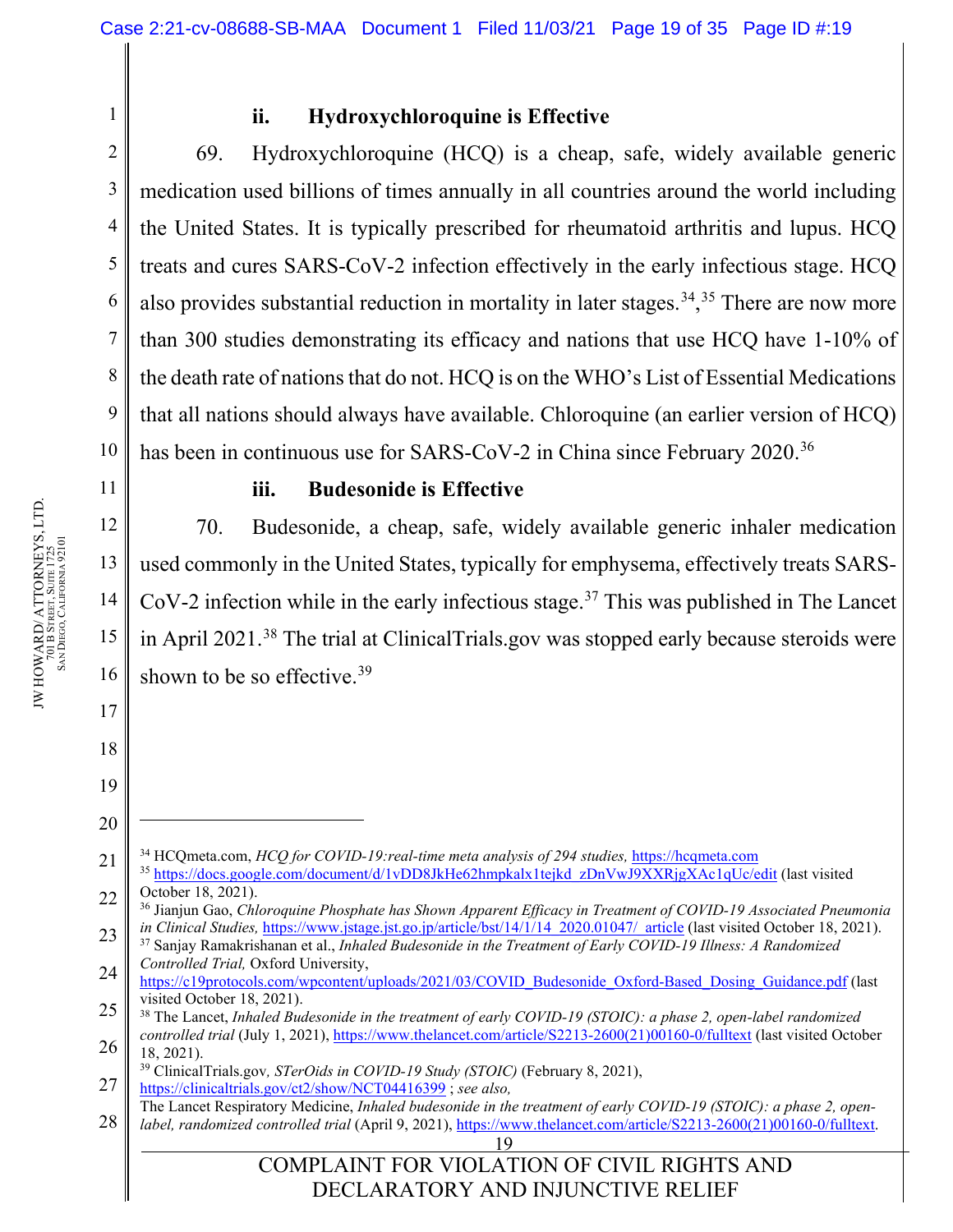1

2

3

4

5

6

7

8

9

10

### **ii. Hydroxychloroquine is Effective**

69. Hydroxychloroquine (HCQ) is a cheap, safe, widely available generic medication used billions of times annually in all countries around the world including the United States. It is typically prescribed for rheumatoid arthritis and lupus. HCQ treats and cures SARS-CoV-2 infection effectively in the early infectious stage. HCQ also provides substantial reduction in mortality in later stages.<sup>34</sup>,<sup>[35](#page-18-1)</sup> There are now more than 300 studies demonstrating its efficacy and nations that use HCQ have 1-10% of the death rate of nations that do not. HCQ is on the WHO's List of Essential Medications that all nations should always have available. Chloroquine (an earlier version of HCQ) has been in continuous use for SARS-CoV-2 in China since February 2020.<sup>[36](#page-18-2)</sup>

11

12

13

14

15

16

17

18

19

20

### **iii. Budesonide is Effective**

70. Budesonide, a cheap, safe, widely available generic inhaler medication used commonly in the United States, typically for emphysema, effectively treats SARS- $CoV-2$  infection while in the early infectious stage.<sup>[37](#page-18-3)</sup> This was published in The Lancet in April 2021.[38](#page-18-4) The trial at ClinicalTrials.gov was stopped early because steroids were shown to be so effective.<sup>[39](#page-18-5)</sup>

<span id="page-18-0"></span><sup>21</sup> <sup>34</sup> HCQmeta.com, *HCQ for COVID-19:real-time meta analysis of 294 studies,* [https://hcqmeta.com](https://hcqmeta.com/)

<span id="page-18-1"></span><sup>22</sup> <sup>35</sup> [https://docs.google.com/document/d/1vDD8JkHe62hmpkalx1tejkd\\_zDnVwJ9XXRjgXAc1qUc/edit](https://docs.google.com/document/d/1vDD8JkHe62hmpkalx1tejkd_zDnVwJ9XXRjgXAc1qUc/edit) (last visited October 18, 2021).

<span id="page-18-2"></span><sup>23</sup> <sup>36</sup> Jianjun Gao, *Chloroquine Phosphate has Shown Apparent Efficacy in Treatment of COVID-19 Associated Pneumonia in Clinical Studies, [https://www.jstage.jst.go.jp/article/bst/14/1/14\\_2020.01047/\\_article](https://www.jstage.jst.go.jp/article/bst/14/1/14_2020.01047/_article) (last visited October 18, 2021).* 

<span id="page-18-3"></span><sup>24</sup> <sup>37</sup> Sanjay Ramakrishanan et al., *Inhaled Budesonide in the Treatment of Early COVID-19 Illness: A Randomized Controlled Trial,* Oxford University,

<sup>25</sup> [https://c19protocols.com/wpcontent/uploads/2021/03/COVID\\_Budesonide\\_Oxford-Based\\_Dosing\\_Guidance.pdf](https://c19protocols.com/wpcontent/uploads/2021/03/COVID_Budesonide_Oxford-Based_Dosing_Guidance.pdf) (last visited October 18, 2021).

<span id="page-18-4"></span><sup>26</sup> <sup>38</sup> The Lancet, *Inhaled Budesonide in the treatment of early COVID-19 (STOIC): a phase 2, open-label randomized controlled trial* (July 1, 2021), [https://www.thelancet.com/article/S2213-2600\(21\)00160-0/fulltext](https://www.thelancet.com/article/S2213-2600(21)00160-0/fulltext) (last visited October 18, 2021).

<span id="page-18-5"></span><sup>27</sup> <sup>39</sup> ClinicalTrials.gov*, STerOids in COVID-19 Study (STOIC)* (February 8, 2021), <https://clinicaltrials.gov/ct2/show/NCT04416399> ; *see also,*

<sup>28</sup> The Lancet Respiratory Medicine, *Inhaled budesonide in the treatment of early COVID-19 (STOIC): a phase 2, openlabel, randomized controlled trial* (April 9, 2021), [https://www.thelancet.com/article/S2213-2600\(21\)00160-0/fulltext.](https://www.thelancet.com/article/S2213-2600(21)00160-0/fulltext)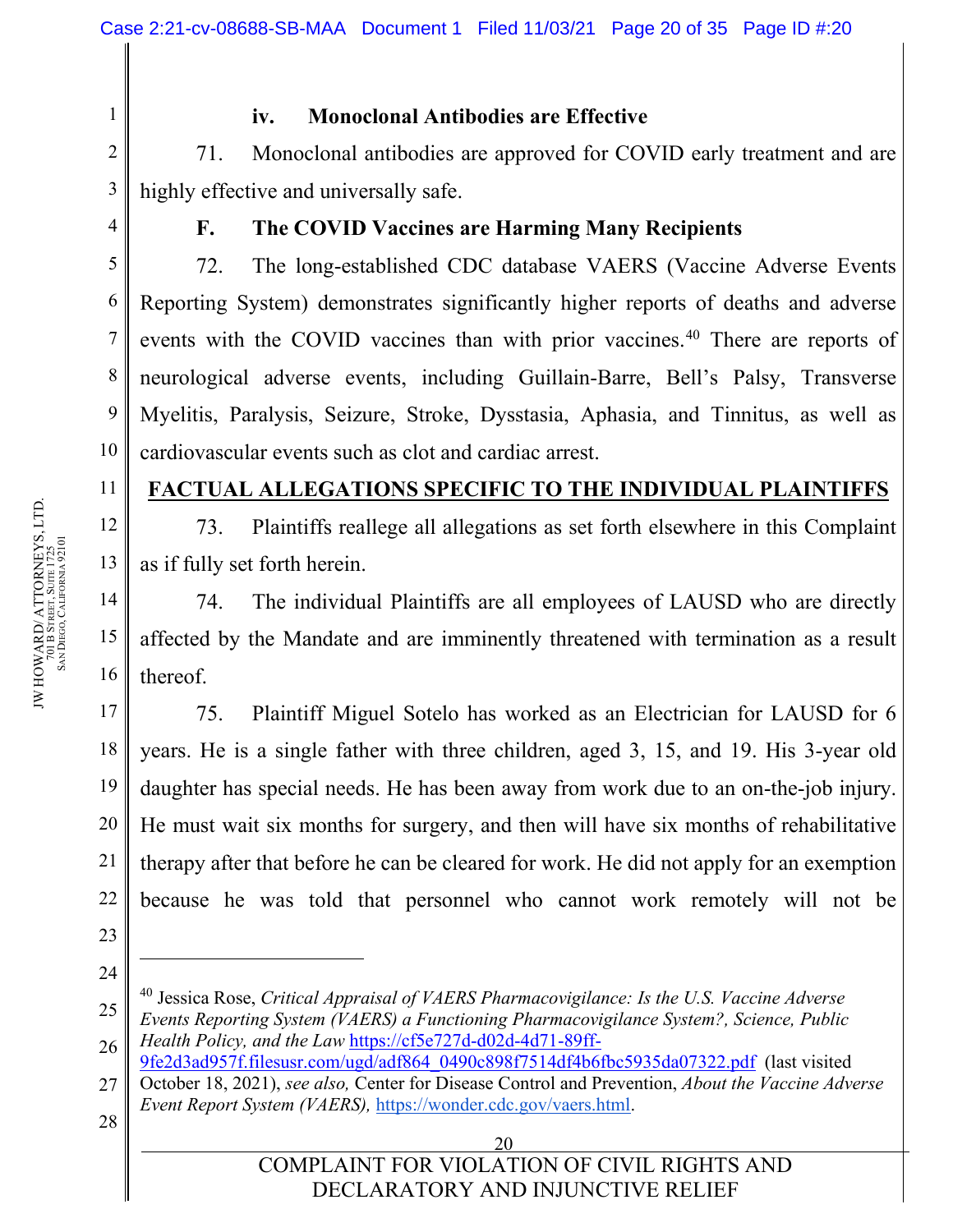1

4

5

6

7

8

9

10

11

12

13

14

15

16

17

18

19

20

21

22

23

24

### **iv. Monoclonal Antibodies are Effective**

2 3 71. Monoclonal antibodies are approved for COVID early treatment and are highly effective and universally safe.

### **F. The COVID Vaccines are Harming Many Recipients**

72. The long-established CDC database VAERS (Vaccine Adverse Events Reporting System) demonstrates significantly higher reports of deaths and adverse events with the COVID vaccines than with prior vaccines.<sup>[40](#page-19-0)</sup> There are reports of neurological adverse events, including Guillain-Barre, Bell's Palsy, Transverse Myelitis, Paralysis, Seizure, Stroke, Dysstasia, Aphasia, and Tinnitus, as well as cardiovascular events such as clot and cardiac arrest.

### **FACTUAL ALLEGATIONS SPECIFIC TO THE INDIVIDUAL PLAINTIFFS**

73. Plaintiffs reallege all allegations as set forth elsewhere in this Complaint as if fully set forth herein.

74. The individual Plaintiffs are all employees of LAUSD who are directly affected by the Mandate and are imminently threatened with termination as a result thereof.

75. Plaintiff Miguel Sotelo has worked as an Electrician for LAUSD for 6 years. He is a single father with three children, aged 3, 15, and 19. His 3-year old daughter has special needs. He has been away from work due to an on-the-job injury. He must wait six months for surgery, and then will have six months of rehabilitative therapy after that before he can be cleared for work. He did not apply for an exemption because he was told that personnel who cannot work remotely will not be

27 [9fe2d3ad957f.filesusr.com/ugd/adf864\\_0490c898f7514df4b6fbc5935da07322.pdf](https://cf5e727d-d02d-4d71-89ff-9fe2d3ad957f.filesusr.com/ugd/adf864_0490c898f7514df4b6fbc5935da07322.pdf) (last visited October 18, 2021), *see also,* Center for Disease Control and Prevention, *About the Vaccine Adverse Event Report System (VAERS),* [https://wonder.cdc.gov/vaers.html.](https://wonder.cdc.gov/vaers.html)

28

#### 20 COMPLAINT FOR VIOLATION OF CIVIL RIGHTS AND DECLARATORY AND INJUNCTIVE RELIEF

<span id="page-19-0"></span><sup>25</sup> 26 <sup>40</sup> Jessica Rose, *Critical Appraisal of VAERS Pharmacovigilance: Is the U.S. Vaccine Adverse Events Reporting System (VAERS) a Functioning Pharmacovigilance System?, Science, Public Health Policy, and the Law* [https://cf5e727d-d02d-4d71-89ff-](https://cf5e727d-d02d-4d71-89ff-9fe2d3ad957f.filesusr.com/ugd/adf864_0490c898f7514df4b6fbc5935da07322.pdf)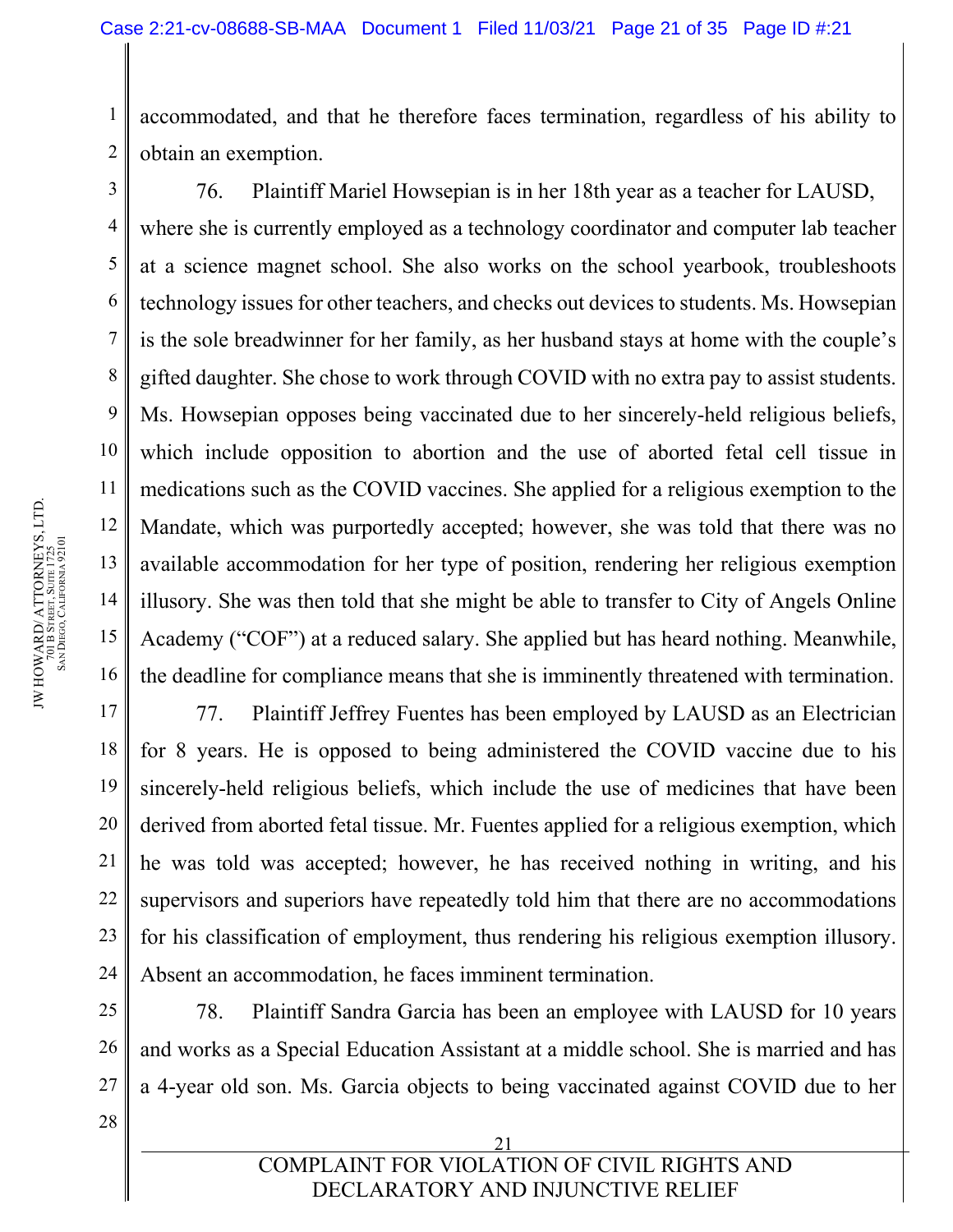1 2 accommodated, and that he therefore faces termination, regardless of his ability to obtain an exemption.

76. Plaintiff Mariel Howsepian is in her 18th year as a teacher for LAUSD, where she is currently employed as a technology coordinator and computer lab teacher at a science magnet school. She also works on the school yearbook, troubleshoots technology issues for other teachers, and checks out devices to students. Ms. Howsepian is the sole breadwinner for her family, as her husband stays at home with the couple's gifted daughter. She chose to work through COVID with no extra pay to assist students. Ms. Howsepian opposes being vaccinated due to her sincerely-held religious beliefs, which include opposition to abortion and the use of aborted fetal cell tissue in medications such as the COVID vaccines. She applied for a religious exemption to the Mandate, which was purportedly accepted; however, she was told that there was no available accommodation for her type of position, rendering her religious exemption illusory. She was then told that she might be able to transfer to City of Angels Online Academy ("COF") at a reduced salary. She applied but has heard nothing. Meanwhile, the deadline for compliance means that she is imminently threatened with termination.

77. Plaintiff Jeffrey Fuentes has been employed by LAUSD as an Electrician for 8 years. He is opposed to being administered the COVID vaccine due to his sincerely-held religious beliefs, which include the use of medicines that have been derived from aborted fetal tissue. Mr. Fuentes applied for a religious exemption, which he was told was accepted; however, he has received nothing in writing, and his supervisors and superiors have repeatedly told him that there are no accommodations for his classification of employment, thus rendering his religious exemption illusory. Absent an accommodation, he faces imminent termination.

78. Plaintiff Sandra Garcia has been an employee with LAUSD for 10 years and works as a Special Education Assistant at a middle school. She is married and has a 4-year old son. Ms. Garcia objects to being vaccinated against COVID due to her

3

4

5

6

7

8

9

10

11

12

13

14

15

16

17

18

19

20

21

22

23

24

25

26

27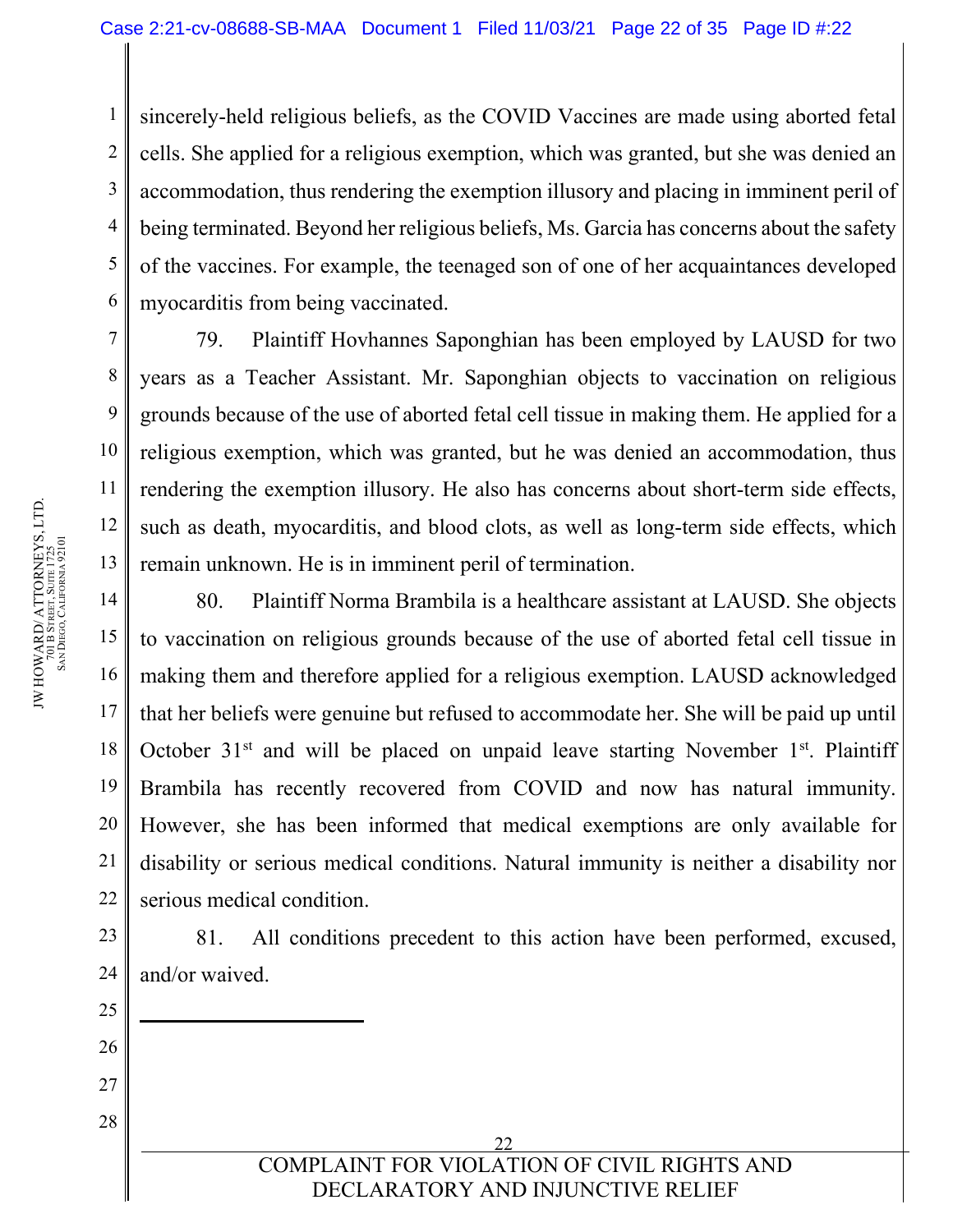1 2 3 4 5 6 sincerely-held religious beliefs, as the COVID Vaccines are made using aborted fetal cells. She applied for a religious exemption, which was granted, but she was denied an accommodation, thus rendering the exemption illusory and placing in imminent peril of being terminated. Beyond her religious beliefs, Ms. Garcia has concerns about the safety of the vaccines. For example, the teenaged son of one of her acquaintances developed myocarditis from being vaccinated.

79. Plaintiff Hovhannes Saponghian has been employed by LAUSD for two years as a Teacher Assistant. Mr. Saponghian objects to vaccination on religious grounds because of the use of aborted fetal cell tissue in making them. He applied for a religious exemption, which was granted, but he was denied an accommodation, thus rendering the exemption illusory. He also has concerns about short-term side effects, such as death, myocarditis, and blood clots, as well as long-term side effects, which remain unknown. He is in imminent peril of termination.

80. Plaintiff Norma Brambila is a healthcare assistant at LAUSD. She objects to vaccination on religious grounds because of the use of aborted fetal cell tissue in making them and therefore applied for a religious exemption. LAUSD acknowledged that her beliefs were genuine but refused to accommodate her. She will be paid up until October  $31<sup>st</sup>$  and will be placed on unpaid leave starting November  $1<sup>st</sup>$ . Plaintiff Brambila has recently recovered from COVID and now has natural immunity. However, she has been informed that medical exemptions are only available for disability or serious medical conditions. Natural immunity is neither a disability nor serious medical condition.

81. All conditions precedent to this action have been performed, excused, and/or waived.

> 22 COMPLAINT FOR VIOLATION OF CIVIL RIGHTS AND DECLARATORY AND INJUNCTIVE RELIEF

7

8

9

10

11

12

13

14

15

16

17

18

19

20

21

22

23

24

25

26

27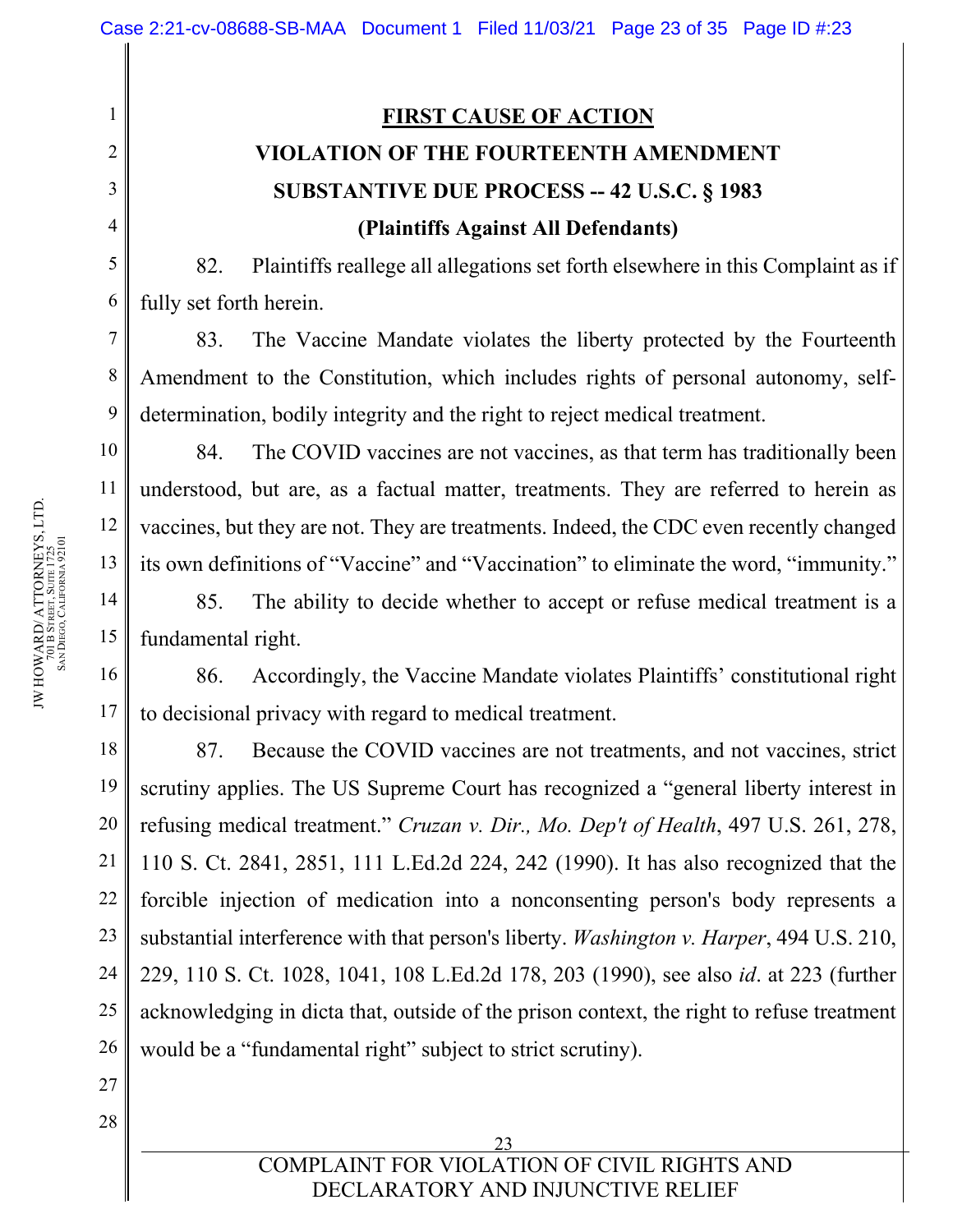# **FIRST CAUSE OF ACTION VIOLATION OF THE FOURTEENTH AMENDMENT SUBSTANTIVE DUE PROCESS -- 42 U.S.C. § 1983 (Plaintiffs Against All Defendants)**

82. Plaintiffs reallege all allegations set forth elsewhere in this Complaint as if fully set forth herein.

83. The Vaccine Mandate violates the liberty protected by the Fourteenth Amendment to the Constitution, which includes rights of personal autonomy, selfdetermination, bodily integrity and the right to reject medical treatment.

84. The COVID vaccines are not vaccines, as that term has traditionally been understood, but are, as a factual matter, treatments. They are referred to herein as vaccines, but they are not. They are treatments. Indeed, the CDC even recently changed its own definitions of "Vaccine" and "Vaccination" to eliminate the word, "immunity."

85. The ability to decide whether to accept or refuse medical treatment is a fundamental right.

86. Accordingly, the Vaccine Mandate violates Plaintiffs' constitutional right to decisional privacy with regard to medical treatment.

87. Because the COVID vaccines are not treatments, and not vaccines, strict scrutiny applies. The US Supreme Court has recognized a "general liberty interest in refusing medical treatment." *Cruzan v. Dir., Mo. Dep't of Health*, 497 U.S. 261, 278, 110 S. Ct. 2841, 2851, 111 L.Ed.2d 224, 242 (1990). It has also recognized that the forcible injection of medication into a nonconsenting person's body represents a substantial interference with that person's liberty. *Washington v. Harper*, 494 U.S. 210, 229, 110 S. Ct. 1028, 1041, 108 L.Ed.2d 178, 203 (1990), see also *id*. at 223 (further acknowledging in dicta that, outside of the prison context, the right to refuse treatment would be a "fundamental right" subject to strict scrutiny).

1

2

3

4

5

6

7

8

9

10

11

12

13

14

15

16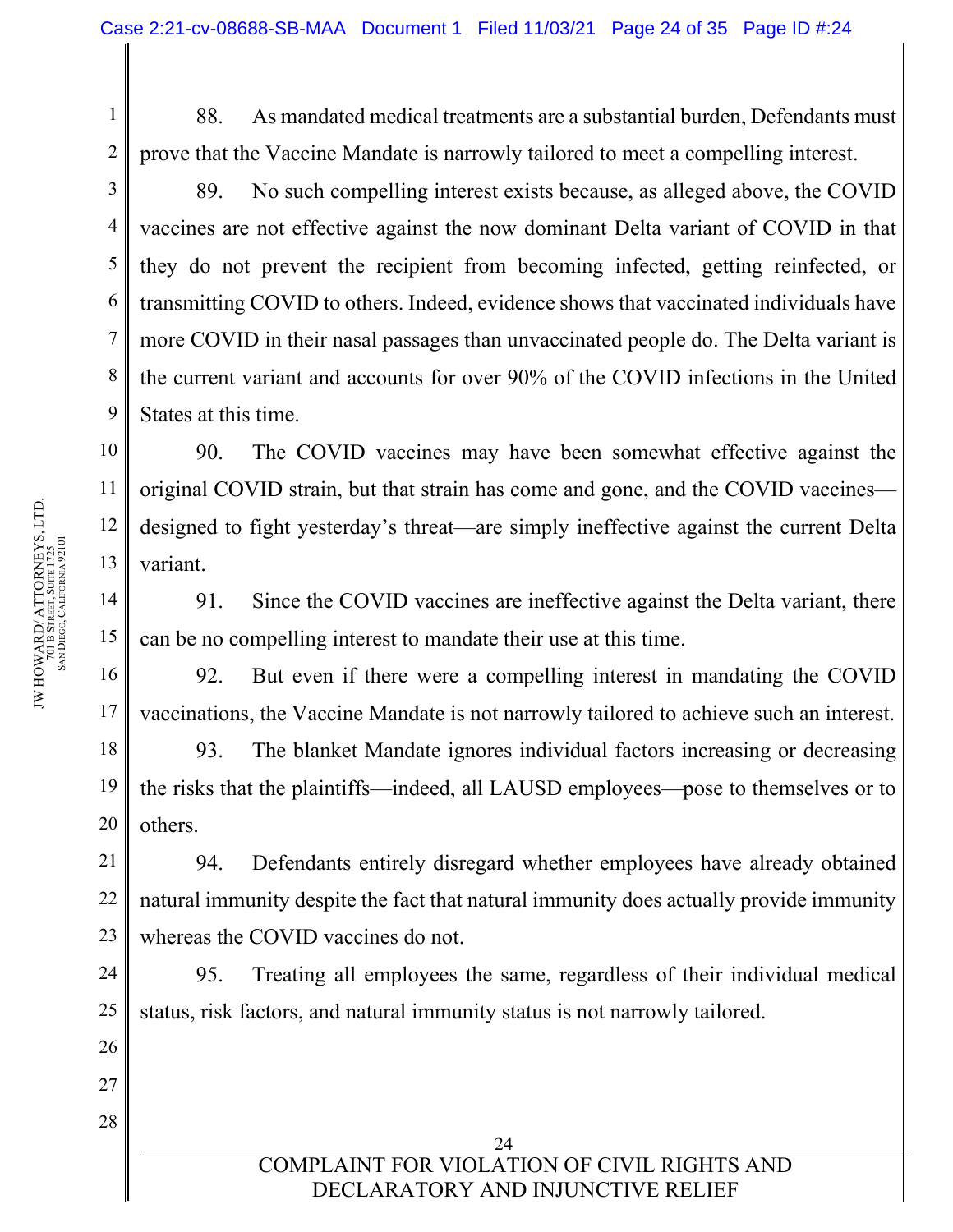88. As mandated medical treatments are a substantial burden, Defendants must prove that the Vaccine Mandate is narrowly tailored to meet a compelling interest.

89. No such compelling interest exists because, as alleged above, the COVID vaccines are not effective against the now dominant Delta variant of COVID in that they do not prevent the recipient from becoming infected, getting reinfected, or transmitting COVID to others. Indeed, evidence shows that vaccinated individuals have more COVID in their nasal passages than unvaccinated people do. The Delta variant is the current variant and accounts for over 90% of the COVID infections in the United States at this time.

10 11 12 13 90. The COVID vaccines may have been somewhat effective against the original COVID strain, but that strain has come and gone, and the COVID vaccines designed to fight yesterday's threat—are simply ineffective against the current Delta variant.

91. Since the COVID vaccines are ineffective against the Delta variant, there can be no compelling interest to mandate their use at this time.

92. But even if there were a compelling interest in mandating the COVID vaccinations, the Vaccine Mandate is not narrowly tailored to achieve such an interest.

93. The blanket Mandate ignores individual factors increasing or decreasing the risks that the plaintiffs—indeed, all LAUSD employees—pose to themselves or to others.

21 22 23 94. Defendants entirely disregard whether employees have already obtained natural immunity despite the fact that natural immunity does actually provide immunity whereas the COVID vaccines do not.

95. Treating all employees the same, regardless of their individual medical status, risk factors, and natural immunity status is not narrowly tailored.

1

2

3

4

5

6

7

8

9

14

15

16

17

18

19

20

24

25

26

27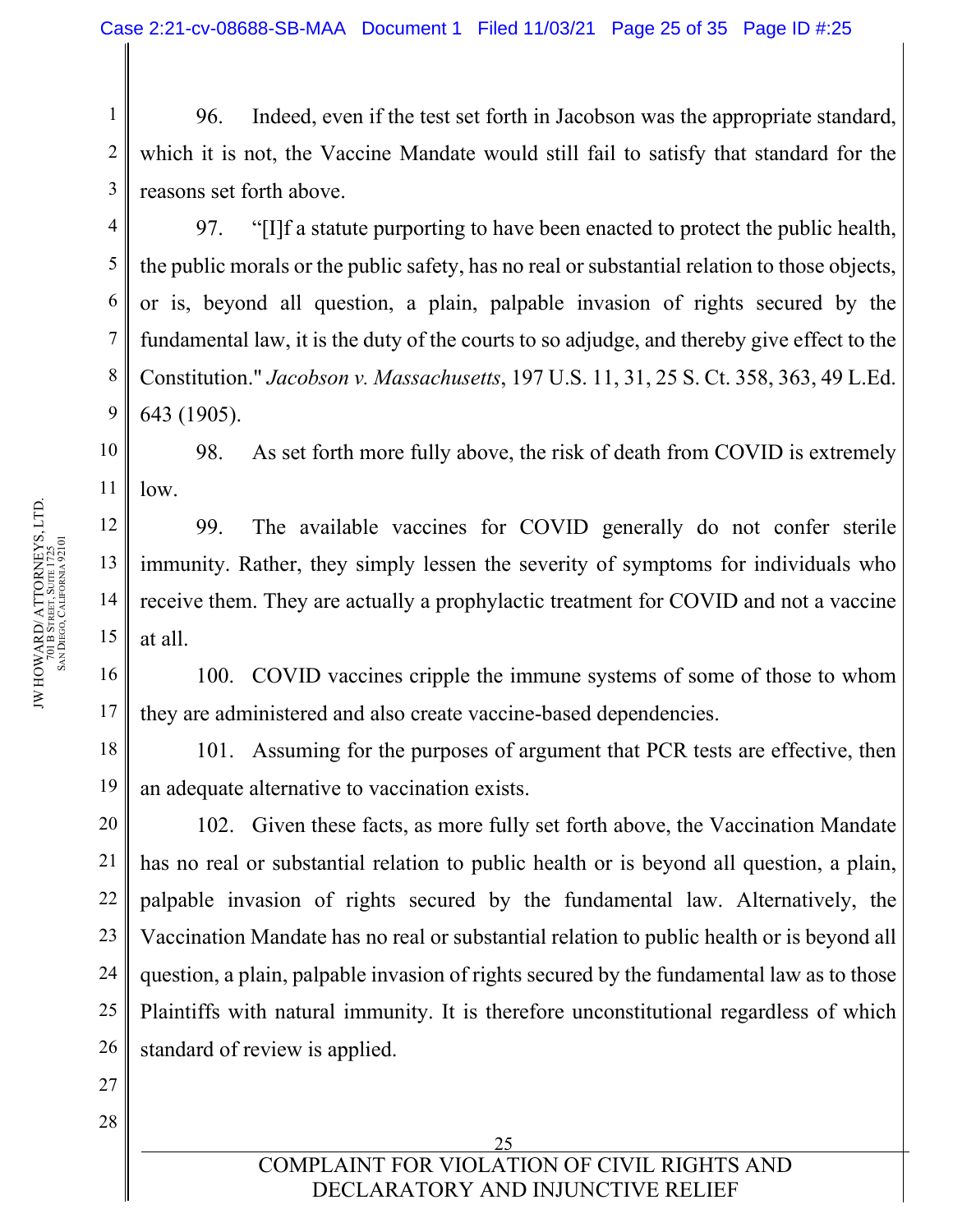2 3 96. Indeed, even if the test set forth in Jacobson was the appropriate standard, which it is not, the Vaccine Mandate would still fail to satisfy that standard for the reasons set forth above.

97. "[I]f a statute purporting to have been enacted to protect the public health, the public morals or the public safety, has no real or substantial relation to those objects, or is, beyond all question, a plain, palpable invasion of rights secured by the fundamental law, it is the duty of the courts to so adjudge, and thereby give effect to the Constitution." *Jacobson v. Massachusetts*, 197 U.S. 11, 31, 25 S. Ct. 358, 363, 49 L.Ed. 643 (1905).

10 11 98. As set forth more fully above, the risk of death from COVID is extremely low.

99. The available vaccines for COVID generally do not confer sterile immunity. Rather, they simply lessen the severity of symptoms for individuals who receive them. They are actually a prophylactic treatment for COVID and not a vaccine at all.

100. COVID vaccines cripple the immune systems of some of those to whom they are administered and also create vaccine-based dependencies.

101. Assuming for the purposes of argument that PCR tests are effective, then an adequate alternative to vaccination exists.

20 22 23 24 102. Given these facts, as more fully set forth above, the Vaccination Mandate has no real or substantial relation to public health or is beyond all question, a plain, palpable invasion of rights secured by the fundamental law. Alternatively, the Vaccination Mandate has no real or substantial relation to public health or is beyond all question, a plain, palpable invasion of rights secured by the fundamental law as to those Plaintiffs with natural immunity. It is therefore unconstitutional regardless of which standard of review is applied.

1

4

5

6

7

8

9

12

13

14

15

16

17

18

19

21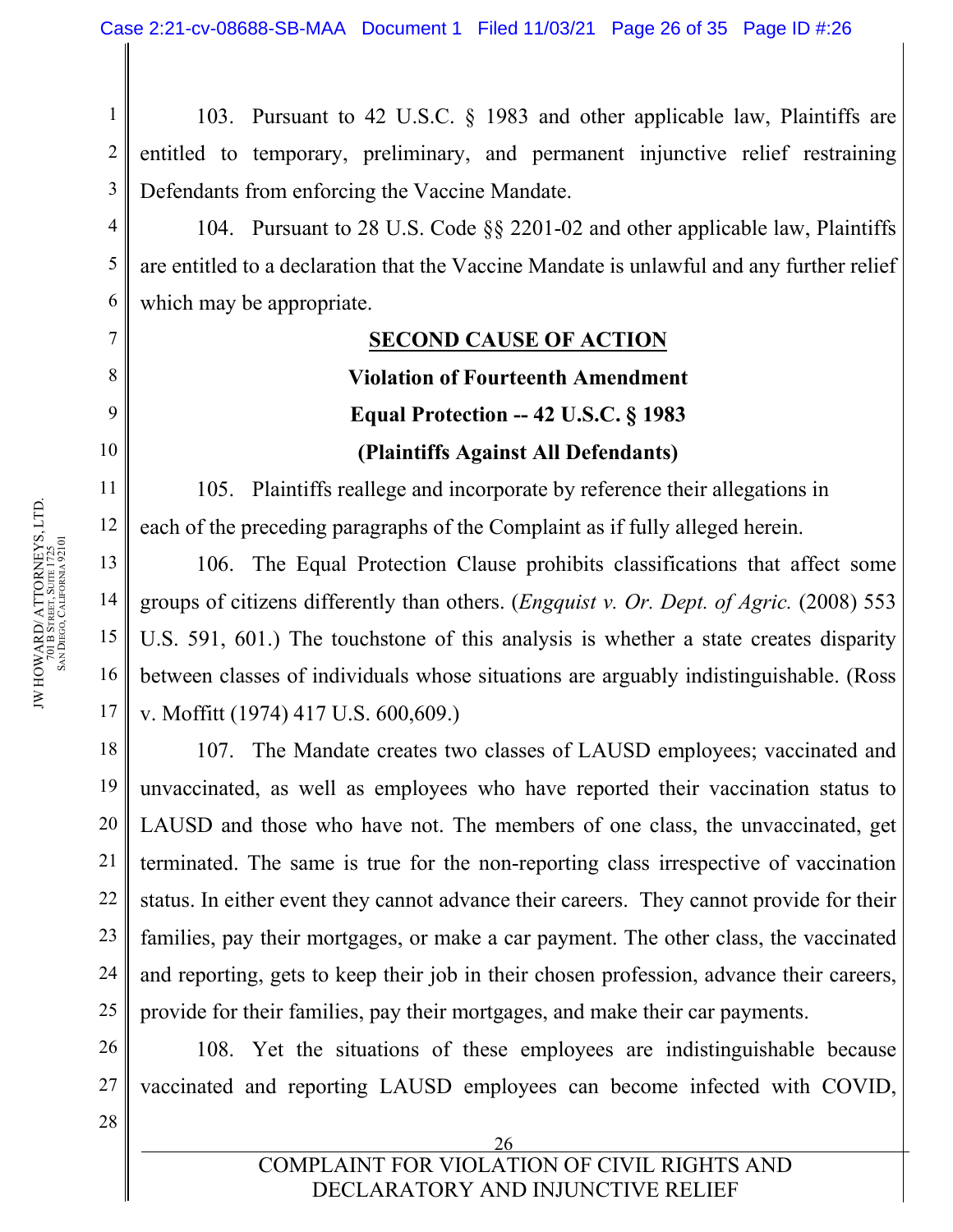1 2 3 103. Pursuant to 42 U.S.C. § 1983 and other applicable law, Plaintiffs are entitled to temporary, preliminary, and permanent injunctive relief restraining Defendants from enforcing the Vaccine Mandate.

104. Pursuant to 28 U.S. Code §§ 2201-02 and other applicable law, Plaintiffs are entitled to a declaration that the Vaccine Mandate is unlawful and any further relief which may be appropriate.

#### **SECOND CAUSE OF ACTION**

# **Violation of Fourteenth Amendment Equal Protection -- 42 U.S.C. § 1983 (Plaintiffs Against All Defendants)**

105. Plaintiffs reallege and incorporate by reference their allegations in each of the preceding paragraphs of the Complaint as if fully alleged herein.

106. The Equal Protection Clause prohibits classifications that affect some groups of citizens differently than others. (*Engquist v. Or. Dept. of Agric.* (2008) 553 U.S. 591, 601.) The touchstone of this analysis is whether a state creates disparity between classes of individuals whose situations are arguably indistinguishable. (Ross v. Moffitt (1974) 417 U.S. 600,609.)

18 19 20 21 22 23 24 25 107. The Mandate creates two classes of LAUSD employees; vaccinated and unvaccinated, as well as employees who have reported their vaccination status to LAUSD and those who have not. The members of one class, the unvaccinated, get terminated. The same is true for the non-reporting class irrespective of vaccination status. In either event they cannot advance their careers. They cannot provide for their families, pay their mortgages, or make a car payment. The other class, the vaccinated and reporting, gets to keep their job in their chosen profession, advance their careers, provide for their families, pay their mortgages, and make their car payments.

26 27 108. Yet the situations of these employees are indistinguishable because vaccinated and reporting LAUSD employees can become infected with COVID,

ን6

28

COMPLAINT FOR VIOLATION OF CIVIL RIGHTS AND DECLARATORY AND INJUNCTIVE RELIEF

4

5

6

7

8

9

10

11

12

13

14

15

16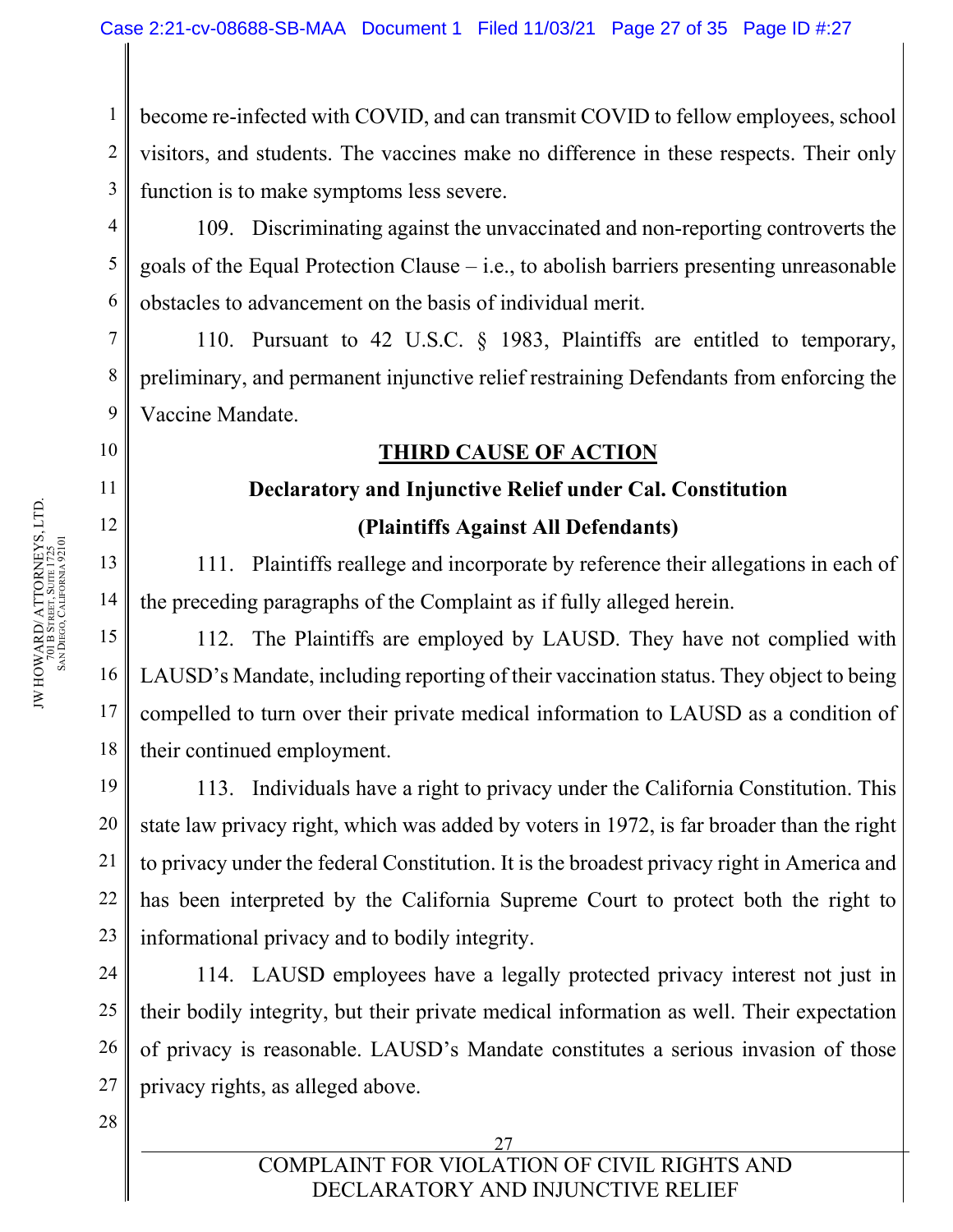1 2 3 become re-infected with COVID, and can transmit COVID to fellow employees, school visitors, and students. The vaccines make no difference in these respects. Their only function is to make symptoms less severe.

109. Discriminating against the unvaccinated and non-reporting controverts the goals of the Equal Protection Clause  $-$  i.e., to abolish barriers presenting unreasonable obstacles to advancement on the basis of individual merit.

110. Pursuant to 42 U.S.C. § 1983, Plaintiffs are entitled to temporary, preliminary, and permanent injunctive relief restraining Defendants from enforcing the Vaccine Mandate.

# **THIRD CAUSE OF ACTION**

# **Declaratory and Injunctive Relief under Cal. Constitution (Plaintiffs Against All Defendants)**

111. Plaintiffs reallege and incorporate by reference their allegations in each of the preceding paragraphs of the Complaint as if fully alleged herein.

112. The Plaintiffs are employed by LAUSD. They have not complied with LAUSD's Mandate, including reporting of their vaccination status. They object to being compelled to turn over their private medical information to LAUSD as a condition of their continued employment.

19 20 21 22 23 113. Individuals have a right to privacy under the California Constitution. This state law privacy right, which was added by voters in 1972, is far broader than the right to privacy under the federal Constitution. It is the broadest privacy right in America and has been interpreted by the California Supreme Court to protect both the right to informational privacy and to bodily integrity.

24 25 26 27 114. LAUSD employees have a legally protected privacy interest not just in their bodily integrity, but their private medical information as well. Their expectation of privacy is reasonable. LAUSD's Mandate constitutes a serious invasion of those privacy rights, as alleged above.

4

5

6

7

8

9

10

11

12

13

14

15

16

17

18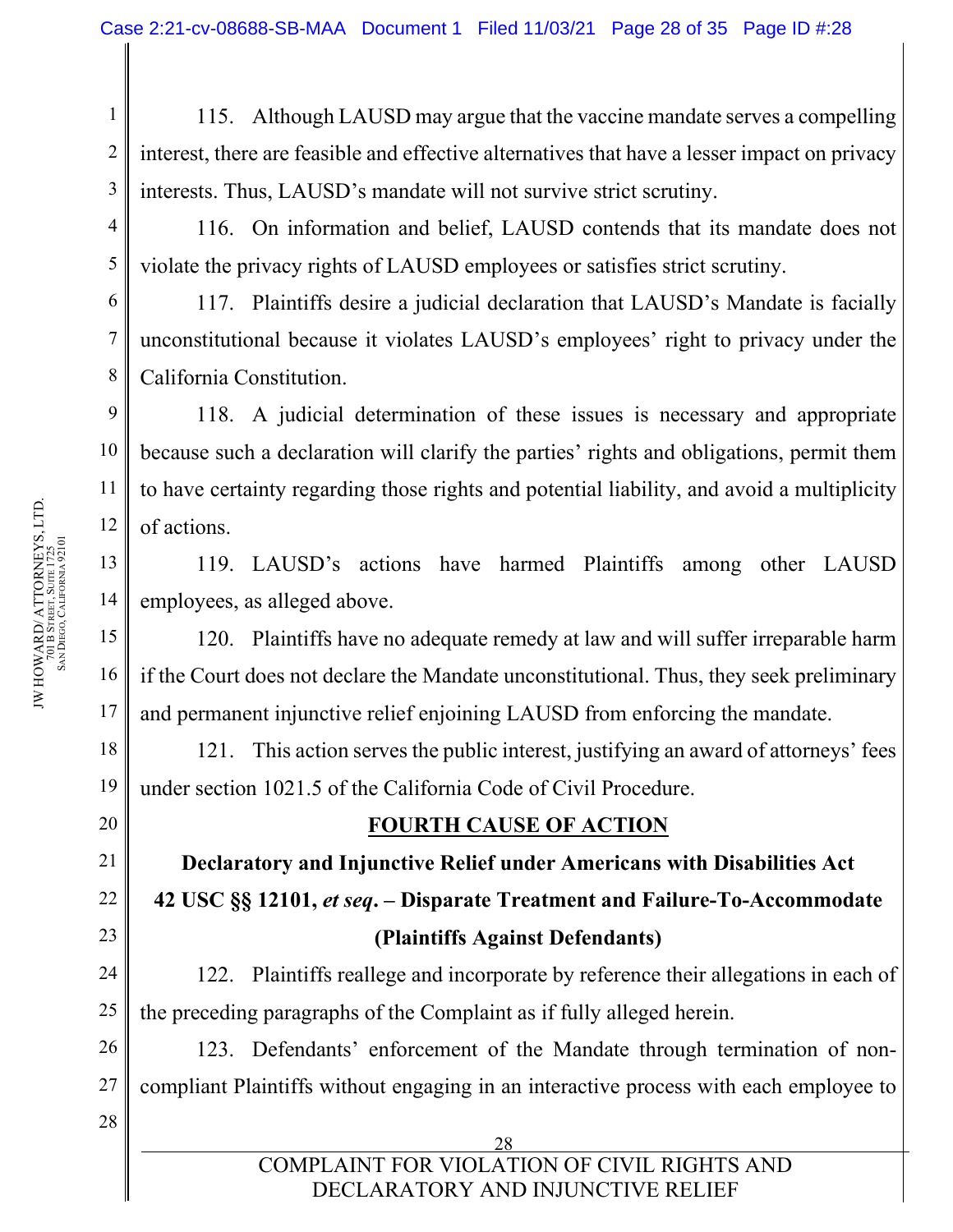1 2 3 115. Although LAUSD may argue that the vaccine mandate serves a compelling interest, there are feasible and effective alternatives that have a lesser impact on privacy interests. Thus, LAUSD's mandate will not survive strict scrutiny.

116. On information and belief, LAUSD contends that its mandate does not violate the privacy rights of LAUSD employees or satisfies strict scrutiny.

117. Plaintiffs desire a judicial declaration that LAUSD's Mandate is facially unconstitutional because it violates LAUSD's employees' right to privacy under the California Constitution.

118. A judicial determination of these issues is necessary and appropriate because such a declaration will clarify the parties' rights and obligations, permit them to have certainty regarding those rights and potential liability, and avoid a multiplicity of actions.

119. LAUSD's actions have harmed Plaintiffs among other LAUSD employees, as alleged above.

120. Plaintiffs have no adequate remedy at law and will suffer irreparable harm if the Court does not declare the Mandate unconstitutional. Thus, they seek preliminary and permanent injunctive relief enjoining LAUSD from enforcing the mandate.

121. This action serves the public interest, justifying an award of attorneys' fees under section 1021.5 of the California Code of Civil Procedure.

### **FOURTH CAUSE OF ACTION**

**Declaratory and Injunctive Relief under Americans with Disabilities Act 42 USC §§ 12101,** *et seq***. – Disparate Treatment and Failure-To-Accommodate (Plaintiffs Against Defendants)**

122. Plaintiffs reallege and incorporate by reference their allegations in each of the preceding paragraphs of the Complaint as if fully alleged herein.

123. Defendants' enforcement of the Mandate through termination of noncompliant Plaintiffs without engaging in an interactive process with each employee to

> 28 COMPLAINT FOR VIOLATION OF CIVIL RIGHTS AND DECLARATORY AND INJUNCTIVE RELIEF

4

5

6

7

8

9

10

11

12

13

14

15

16

17

18

19

20

21

22

23

24

25

26

27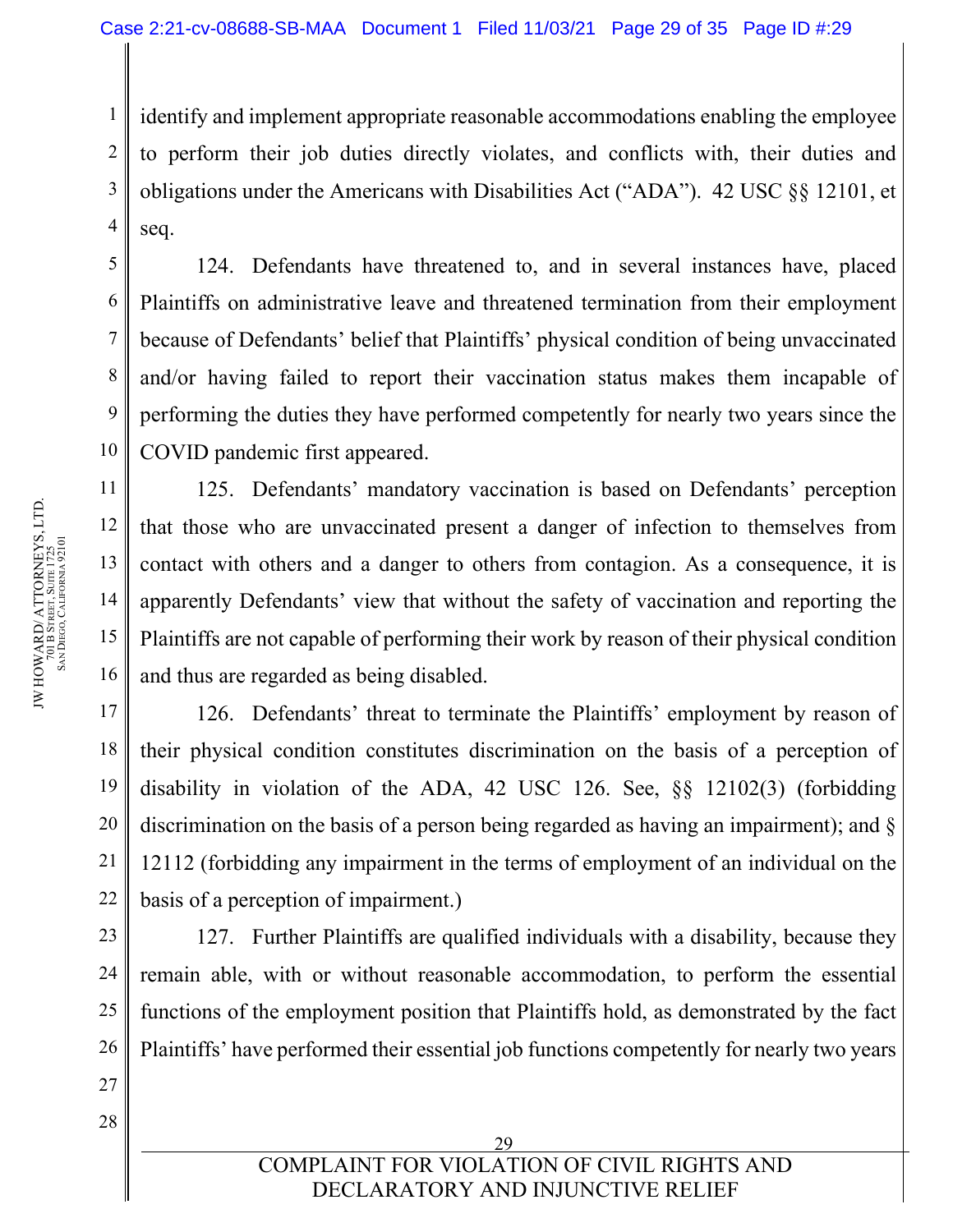1 2 3 4 identify and implement appropriate reasonable accommodations enabling the employee to perform their job duties directly violates, and conflicts with, their duties and obligations under the Americans with Disabilities Act ("ADA"). 42 USC §§ 12101, et seq.

124. Defendants have threatened to, and in several instances have, placed Plaintiffs on administrative leave and threatened termination from their employment because of Defendants' belief that Plaintiffs' physical condition of being unvaccinated and/or having failed to report their vaccination status makes them incapable of performing the duties they have performed competently for nearly two years since the COVID pandemic first appeared.

125. Defendants' mandatory vaccination is based on Defendants' perception that those who are unvaccinated present a danger of infection to themselves from contact with others and a danger to others from contagion. As a consequence, it is apparently Defendants' view that without the safety of vaccination and reporting the Plaintiffs are not capable of performing their work by reason of their physical condition and thus are regarded as being disabled.

126. Defendants' threat to terminate the Plaintiffs' employment by reason of their physical condition constitutes discrimination on the basis of a perception of disability in violation of the ADA, 42 USC 126. See, §§ 12102(3) (forbidding discrimination on the basis of a person being regarded as having an impairment); and § 12112 (forbidding any impairment in the terms of employment of an individual on the basis of a perception of impairment.)

127. Further Plaintiffs are qualified individuals with a disability, because they remain able, with or without reasonable accommodation, to perform the essential functions of the employment position that Plaintiffs hold, as demonstrated by the fact Plaintiffs' have performed their essential job functions competently for nearly two years

5

6

7

8

9

10

11

12

13

14

15

16

17

18

19

20

21

22

23

24

25

26

27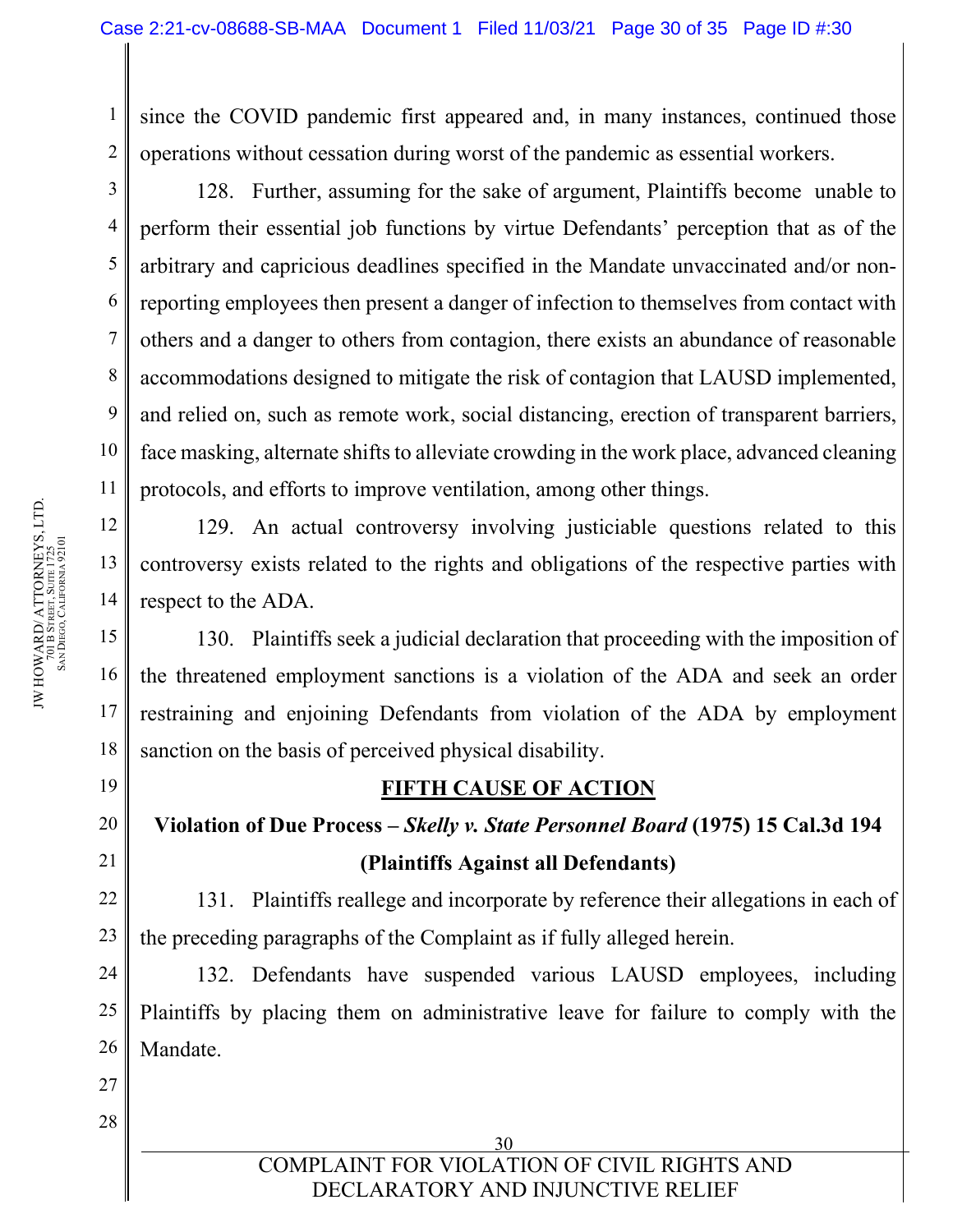since the COVID pandemic first appeared and, in many instances, continued those operations without cessation during worst of the pandemic as essential workers.

128. Further, assuming for the sake of argument, Plaintiffs become unable to perform their essential job functions by virtue Defendants' perception that as of the arbitrary and capricious deadlines specified in the Mandate unvaccinated and/or nonreporting employees then present a danger of infection to themselves from contact with others and a danger to others from contagion, there exists an abundance of reasonable accommodations designed to mitigate the risk of contagion that LAUSD implemented, and relied on, such as remote work, social distancing, erection of transparent barriers, face masking, alternate shifts to alleviate crowding in the work place, advanced cleaning protocols, and efforts to improve ventilation, among other things.

129. An actual controversy involving justiciable questions related to this controversy exists related to the rights and obligations of the respective parties with respect to the ADA.

130. Plaintiffs seek a judicial declaration that proceeding with the imposition of the threatened employment sanctions is a violation of the ADA and seek an order restraining and enjoining Defendants from violation of the ADA by employment sanction on the basis of perceived physical disability.

# **FIFTH CAUSE OF ACTION**

# **Violation of Due Process –** *Skelly v. State Personnel Board* **(1975) 15 Cal.3d 194 (Plaintiffs Against all Defendants)**

131. Plaintiffs reallege and incorporate by reference their allegations in each of the preceding paragraphs of the Complaint as if fully alleged herein.

132. Defendants have suspended various LAUSD employees, including Plaintiffs by placing them on administrative leave for failure to comply with the Mandate.

> 30 COMPLAINT FOR VIOLATION OF CIVIL RIGHTS AND DECLARATORY AND INJUNCTIVE RELIEF

1

2

3

4

5

6

7

8

9

10

11

12

13

14

15

16

17

18

19

20

21

22

23

24

25

26

27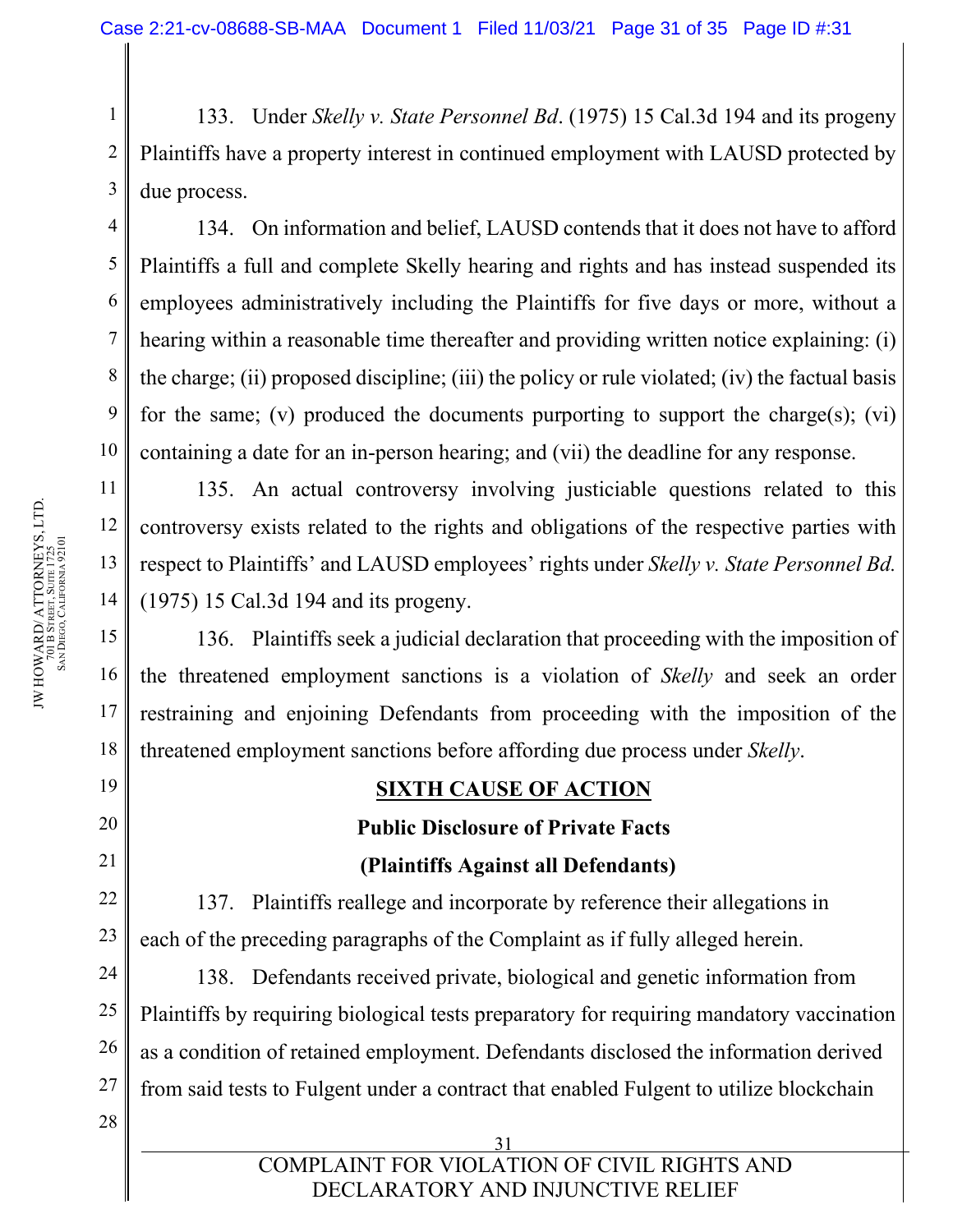1 2 3 133. Under *Skelly v. State Personnel Bd*. (1975) 15 Cal.3d 194 and its progeny Plaintiffs have a property interest in continued employment with LAUSD protected by due process.

134. On information and belief, LAUSD contends that it does not have to afford Plaintiffs a full and complete Skelly hearing and rights and has instead suspended its employees administratively including the Plaintiffs for five days or more, without a hearing within a reasonable time thereafter and providing written notice explaining: (i) the charge; (ii) proposed discipline; (iii) the policy or rule violated; (iv) the factual basis for the same; (v) produced the documents purporting to support the charge(s); (vi) containing a date for an in-person hearing; and (vii) the deadline for any response.

135. An actual controversy involving justiciable questions related to this controversy exists related to the rights and obligations of the respective parties with respect to Plaintiffs' and LAUSD employees' rights under *Skelly v. State Personnel Bd.* (1975) 15 Cal.3d 194 and its progeny.

136. Plaintiffs seek a judicial declaration that proceeding with the imposition of the threatened employment sanctions is a violation of *Skelly* and seek an order restraining and enjoining Defendants from proceeding with the imposition of the threatened employment sanctions before affording due process under *Skelly*.

### **SIXTH CAUSE OF ACTION**

# **Public Disclosure of Private Facts (Plaintiffs Against all Defendants)**

137. Plaintiffs reallege and incorporate by reference their allegations in each of the preceding paragraphs of the Complaint as if fully alleged herein.

138. Defendants received private, biological and genetic information from Plaintiffs by requiring biological tests preparatory for requiring mandatory vaccination as a condition of retained employment. Defendants disclosed the information derived from said tests to Fulgent under a contract that enabled Fulgent to utilize blockchain

4

5

6

7

8

9

10

11

12

13

14

15

16

17

18

19

20

21

22

23

24

25

26

27 28

> 31 COMPLAINT FOR VIOLATION OF CIVIL RIGHTS AND DECLARATORY AND INJUNCTIVE RELIEF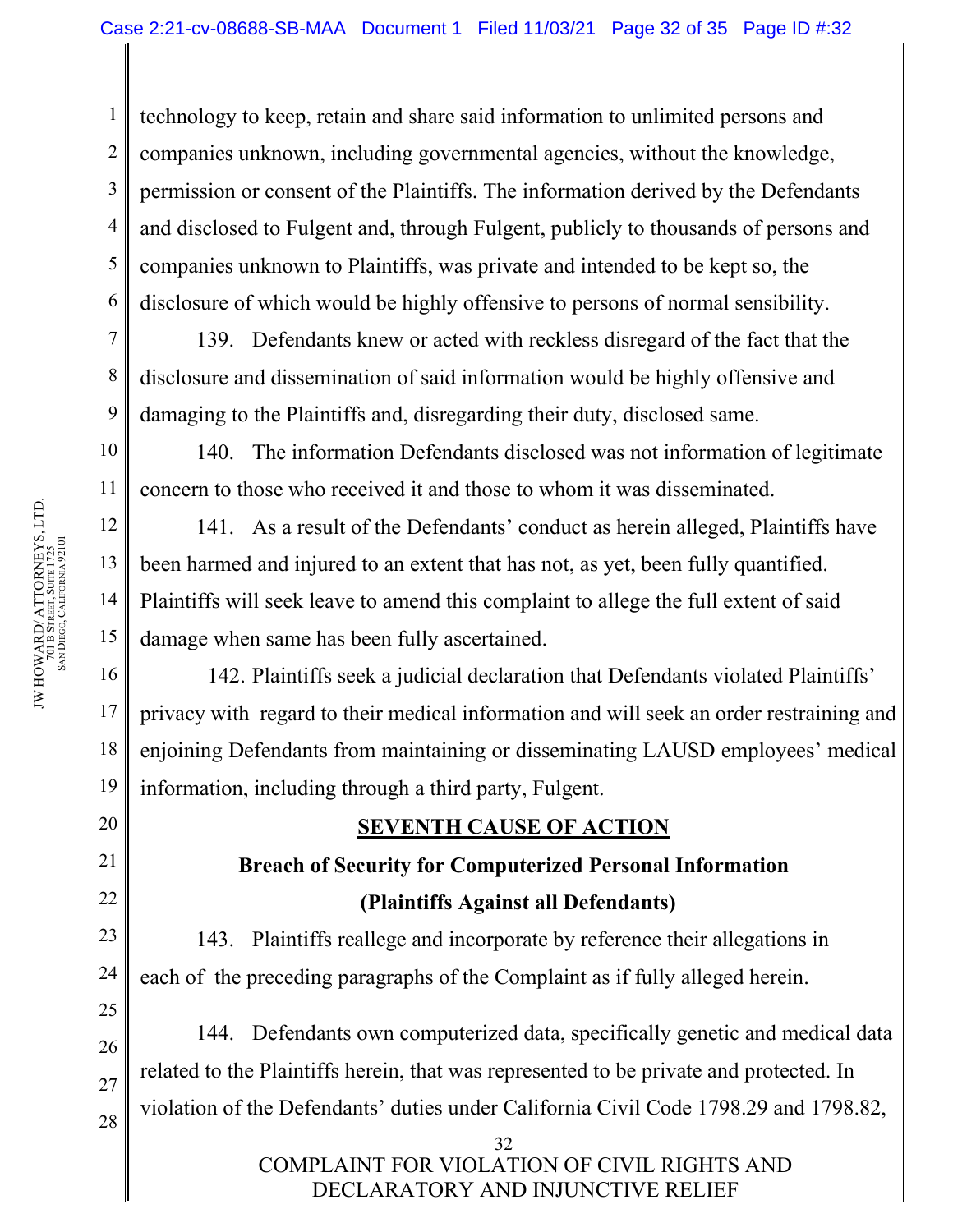3 4 5 technology to keep, retain and share said information to unlimited persons and companies unknown, including governmental agencies, without the knowledge, permission or consent of the Plaintiffs. The information derived by the Defendants and disclosed to Fulgent and, through Fulgent, publicly to thousands of persons and companies unknown to Plaintiffs, was private and intended to be kept so, the disclosure of which would be highly offensive to persons of normal sensibility.

139. Defendants knew or acted with reckless disregard of the fact that the disclosure and dissemination of said information would be highly offensive and damaging to the Plaintiffs and, disregarding their duty, disclosed same.

140. The information Defendants disclosed was not information of legitimate concern to those who received it and those to whom it was disseminated.

141. As a result of the Defendants' conduct as herein alleged, Plaintiffs have been harmed and injured to an extent that has not, as yet, been fully quantified. Plaintiffs will seek leave to amend this complaint to allege the full extent of said damage when same has been fully ascertained.

142. Plaintiffs seek a judicial declaration that Defendants violated Plaintiffs' privacy with regard to their medical information and will seek an order restraining and enjoining Defendants from maintaining or disseminating LAUSD employees' medical information, including through a third party, Fulgent.

# **SEVENTH CAUSE OF ACTION**

# **Breach of Security for Computerized Personal Information (Plaintiffs Against all Defendants)**

143. Plaintiffs reallege and incorporate by reference their allegations in each of the preceding paragraphs of the Complaint as if fully alleged herein.

144. Defendants own computerized data, specifically genetic and medical data related to the Plaintiffs herein, that was represented to be private and protected. In violation of the Defendants' duties under California Civil Code 1798.29 and 1798.82,

32

COMPLAINT FOR VIOLATION OF CIVIL RIGHTS AND DECLARATORY AND INJUNCTIVE RELIEF

1

2

6

7

8

9

10

11

12

13

14

15

16

17

18

19

20

21

22

23

24

25

26

27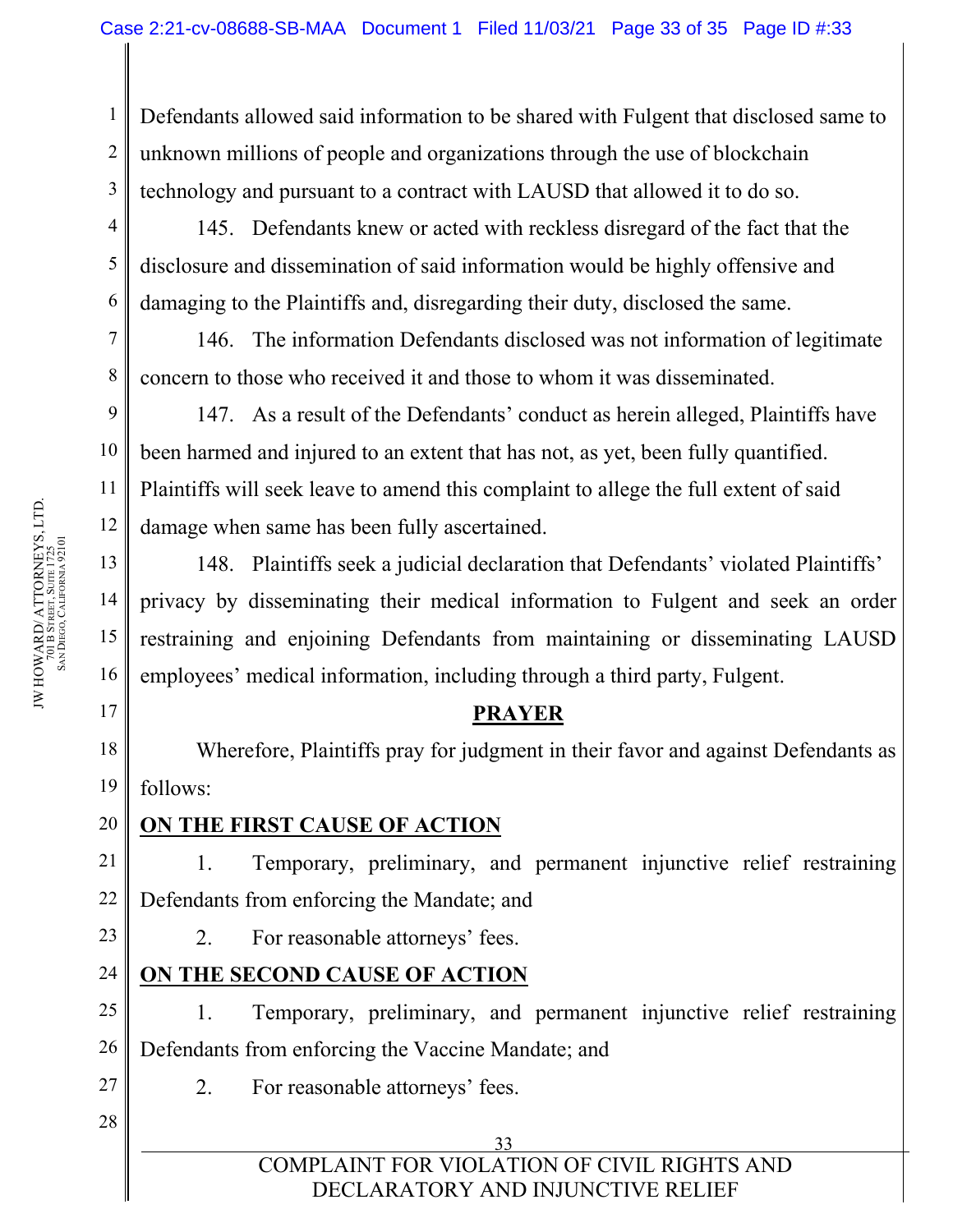1 2 3 Defendants allowed said information to be shared with Fulgent that disclosed same to unknown millions of people and organizations through the use of blockchain technology and pursuant to a contract with LAUSD that allowed it to do so.

8

9

10

11

12

13

14

15

16

17

145. Defendants knew or acted with reckless disregard of the fact that the disclosure and dissemination of said information would be highly offensive and damaging to the Plaintiffs and, disregarding their duty, disclosed the same.

146. The information Defendants disclosed was not information of legitimate concern to those who received it and those to whom it was disseminated.

147. As a result of the Defendants' conduct as herein alleged, Plaintiffs have been harmed and injured to an extent that has not, as yet, been fully quantified. Plaintiffs will seek leave to amend this complaint to allege the full extent of said damage when same has been fully ascertained.

148. Plaintiffs seek a judicial declaration that Defendants' violated Plaintiffs' privacy by disseminating their medical information to Fulgent and seek an order restraining and enjoining Defendants from maintaining or disseminating LAUSD employees' medical information, including through a third party, Fulgent.

### **PRAYER**

18 19 Wherefore, Plaintiffs pray for judgment in their favor and against Defendants as follows:

20

# **ON THE FIRST CAUSE OF ACTION**

21 22 1. Temporary, preliminary, and permanent injunctive relief restraining Defendants from enforcing the Mandate; and

23

24

2. For reasonable attorneys' fees.

# **ON THE SECOND CAUSE OF ACTION**

25 26 1. Temporary, preliminary, and permanent injunctive relief restraining Defendants from enforcing the Vaccine Mandate; and

- 2. For reasonable attorneys' fees.
- 28

27

33 COMPLAINT FOR VIOLATION OF CIVIL RIGHTS AND DECLARATORY AND INJUNCTIVE RELIEF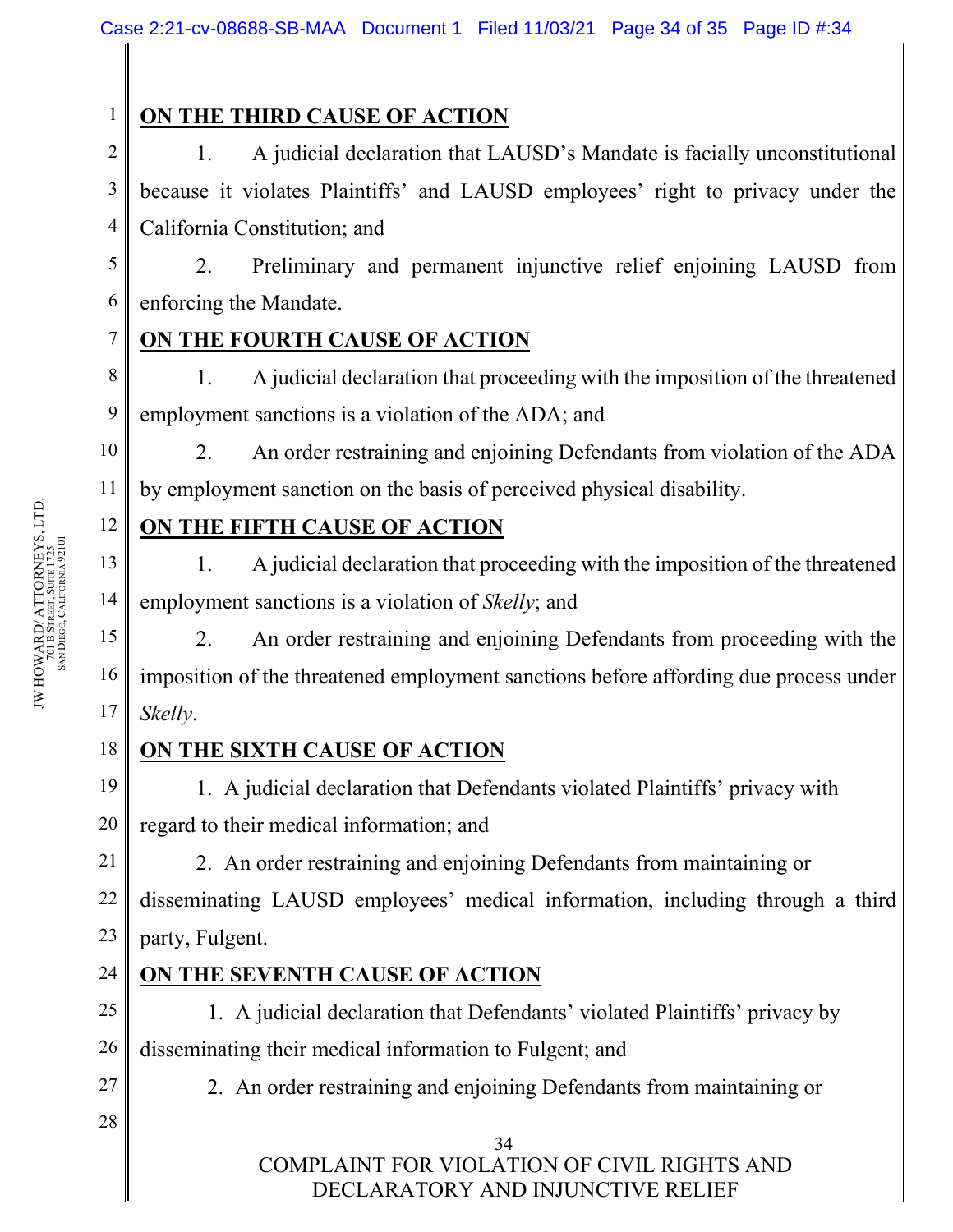# **ON THE THIRD CAUSE OF ACTION**

2 3 4 1. A judicial declaration that LAUSD's Mandate is facially unconstitutional because it violates Plaintiffs' and LAUSD employees' right to privacy under the California Constitution; and

5 2. Preliminary and permanent injunctive relief enjoining LAUSD from enforcing the Mandate.

# **ON THE FOURTH CAUSE OF ACTION**

8 9 1. A judicial declaration that proceeding with the imposition of the threatened employment sanctions is a violation of the ADA; and

2. An order restraining and enjoining Defendants from violation of the ADA by employment sanction on the basis of perceived physical disability.

# **ON THE FIFTH CAUSE OF ACTION**

13 1. A judicial declaration that proceeding with the imposition of the threatened employment sanctions is a violation of *Skelly*; and

16 2. An order restraining and enjoining Defendants from proceeding with the imposition of the threatened employment sanctions before affording due process under *Skelly*.

#### 18 **ON THE SIXTH CAUSE OF ACTION**

19 20 1. A judicial declaration that Defendants violated Plaintiffs' privacy with regard to their medical information; and

2. An order restraining and enjoining Defendants from maintaining or

22 23 disseminating LAUSD employees' medical information, including through a third party, Fulgent.

# **ON THE SEVENTH CAUSE OF ACTION**

25 26 1. A judicial declaration that Defendants' violated Plaintiffs' privacy by disseminating their medical information to Fulgent; and

2. An order restraining and enjoining Defendants from maintaining or

28

27

34 COMPLAINT FOR VIOLATION OF CIVIL RIGHTS AND DECLARATORY AND INJUNCTIVE RELIEF

JW HOWARD/ATTORNEYS, LTD.<br>701 B Street, Suite 1725<br>8AN Diego, California 92101 JW HOWARD/ ATTORNEYS, LTD. DIEGO, CALIFORNIA 92101 701 B Street, Suite 1725<br>San Diego. California 921 1

6

7

10

11

12

14

15

17

21